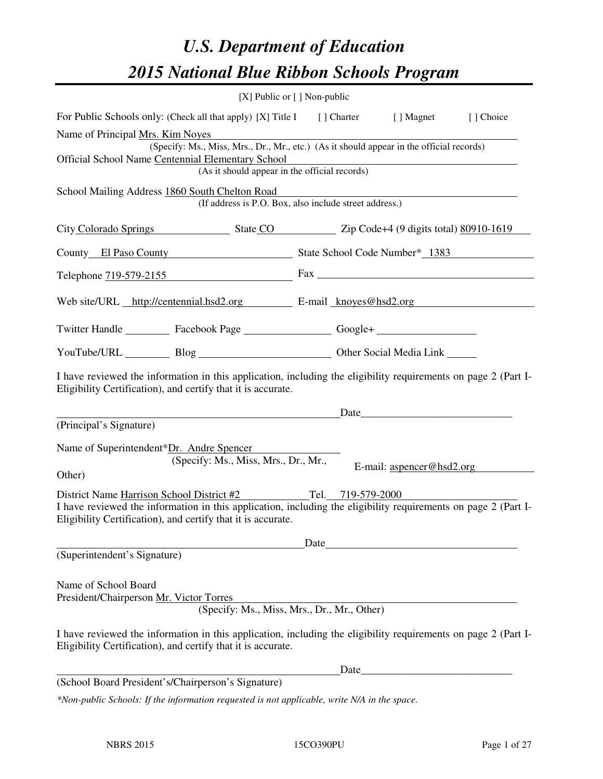# *U.S. Department of Education 2015 National Blue Ribbon Schools Program*

|                                                                                                                                                                                | [X] Public or $[$ ] Non-public |      |      |                                  |            |
|--------------------------------------------------------------------------------------------------------------------------------------------------------------------------------|--------------------------------|------|------|----------------------------------|------------|
| For Public Schools only: (Check all that apply) [X] Title I [] Charter [] Magnet                                                                                               |                                |      |      |                                  | [ ] Choice |
| Name of Principal Mrs. Kim Noyes                                                                                                                                               |                                |      |      |                                  |            |
| (Specify: Ms., Miss, Mrs., Dr., Mr., etc.) (As it should appear in the official records)                                                                                       |                                |      |      |                                  |            |
| Official School Name Centennial Elementary School<br>(As it should appear in the official records)                                                                             |                                |      |      |                                  |            |
|                                                                                                                                                                                |                                |      |      |                                  |            |
| School Mailing Address 1860 South Chelton Road<br>(If address is P.O. Box, also include street address.)                                                                       |                                |      |      |                                  |            |
| City Colorado Springs State CO 21p Code+4 (9 digits total) 80910-1619                                                                                                          |                                |      |      |                                  |            |
| County El Paso County State School Code Number* 1383                                                                                                                           |                                |      |      |                                  |            |
| Telephone $719-579-2155$ Fax $\overline{\phantom{1}}$                                                                                                                          |                                |      |      |                                  |            |
| Web site/URL http://centennial.hsd2.org E-mail knoves@hsd2.org                                                                                                                 |                                |      |      |                                  |            |
| Twitter Handle ___________ Facebook Page ____________________ Google+ __________                                                                                               |                                |      |      |                                  |            |
| YouTube/URL Blog Blog Cher Social Media Link                                                                                                                                   |                                |      |      |                                  |            |
| I have reviewed the information in this application, including the eligibility requirements on page 2 (Part I-<br>Eligibility Certification), and certify that it is accurate. |                                |      |      |                                  |            |
| Date                                                                                                                                                                           |                                |      |      |                                  |            |
| (Principal's Signature)                                                                                                                                                        |                                |      |      |                                  |            |
| Name of Superintendent*Dr. Andre Spencer                                                                                                                                       |                                |      |      |                                  |            |
| (Specify: Ms., Miss, Mrs., Dr., Mr.,                                                                                                                                           |                                |      |      |                                  |            |
| Other)                                                                                                                                                                         |                                |      |      | E-mail: $\text{aspect@hsd2.org}$ |            |
| District Name Harrison School District #2 Tel. 719-579-2000                                                                                                                    |                                |      |      |                                  |            |
| I have reviewed the information in this application, including the eligibility requirements on page 2 (Part I-<br>Eligibility Certification), and certify that it is accurate. |                                |      |      |                                  |            |
|                                                                                                                                                                                |                                | Date |      |                                  |            |
| (Superintendent's Signature)                                                                                                                                                   |                                |      |      |                                  |            |
|                                                                                                                                                                                |                                |      |      |                                  |            |
| Name of School Board                                                                                                                                                           |                                |      |      |                                  |            |
| President/Chairperson Mr. Victor Torres<br>(Specify: Ms., Miss, Mrs., Dr., Mr., Other)                                                                                         |                                |      |      |                                  |            |
|                                                                                                                                                                                |                                |      |      |                                  |            |
| I have reviewed the information in this application, including the eligibility requirements on page 2 (Part I-<br>Eligibility Certification), and certify that it is accurate. |                                |      |      |                                  |            |
|                                                                                                                                                                                |                                |      | Date |                                  |            |
| (School Board President's/Chairperson's Signature)                                                                                                                             |                                |      |      |                                  |            |
| *Non-public Schools: If the information requested is not applicable, write N/A in the space.                                                                                   |                                |      |      |                                  |            |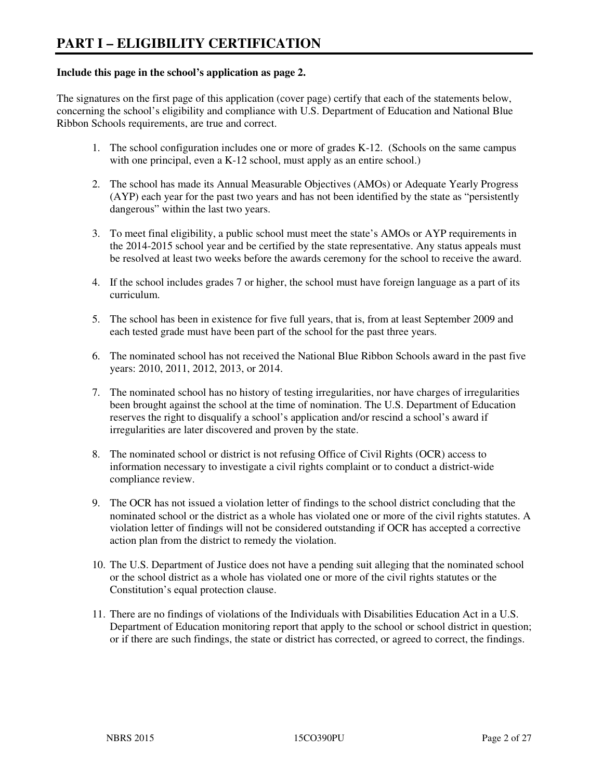#### **Include this page in the school's application as page 2.**

The signatures on the first page of this application (cover page) certify that each of the statements below, concerning the school's eligibility and compliance with U.S. Department of Education and National Blue Ribbon Schools requirements, are true and correct.

- 1. The school configuration includes one or more of grades K-12. (Schools on the same campus with one principal, even a K-12 school, must apply as an entire school.)
- 2. The school has made its Annual Measurable Objectives (AMOs) or Adequate Yearly Progress (AYP) each year for the past two years and has not been identified by the state as "persistently dangerous" within the last two years.
- 3. To meet final eligibility, a public school must meet the state's AMOs or AYP requirements in the 2014-2015 school year and be certified by the state representative. Any status appeals must be resolved at least two weeks before the awards ceremony for the school to receive the award.
- 4. If the school includes grades 7 or higher, the school must have foreign language as a part of its curriculum.
- 5. The school has been in existence for five full years, that is, from at least September 2009 and each tested grade must have been part of the school for the past three years.
- 6. The nominated school has not received the National Blue Ribbon Schools award in the past five years: 2010, 2011, 2012, 2013, or 2014.
- 7. The nominated school has no history of testing irregularities, nor have charges of irregularities been brought against the school at the time of nomination. The U.S. Department of Education reserves the right to disqualify a school's application and/or rescind a school's award if irregularities are later discovered and proven by the state.
- 8. The nominated school or district is not refusing Office of Civil Rights (OCR) access to information necessary to investigate a civil rights complaint or to conduct a district-wide compliance review.
- 9. The OCR has not issued a violation letter of findings to the school district concluding that the nominated school or the district as a whole has violated one or more of the civil rights statutes. A violation letter of findings will not be considered outstanding if OCR has accepted a corrective action plan from the district to remedy the violation.
- 10. The U.S. Department of Justice does not have a pending suit alleging that the nominated school or the school district as a whole has violated one or more of the civil rights statutes or the Constitution's equal protection clause.
- 11. There are no findings of violations of the Individuals with Disabilities Education Act in a U.S. Department of Education monitoring report that apply to the school or school district in question; or if there are such findings, the state or district has corrected, or agreed to correct, the findings.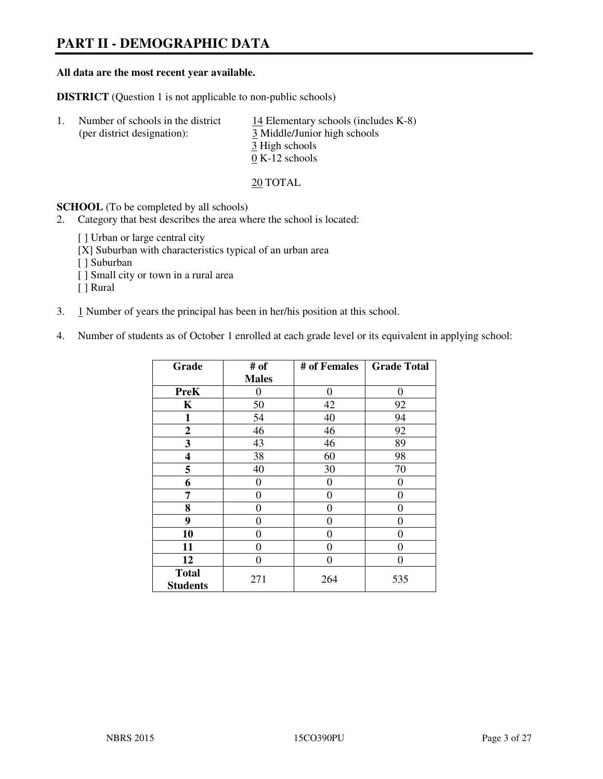## **PART II - DEMOGRAPHIC DATA**

#### **All data are the most recent year available.**

**DISTRICT** (Question 1 is not applicable to non-public schools)

| Number of schools in the district | 14 Elementary schools (includes $K-8$ ) |
|-----------------------------------|-----------------------------------------|
| (per district designation):       | 3 Middle/Junior high schools            |
|                                   | 3 High schools                          |
|                                   | $0 K-12$ schools                        |

#### 20 TOTAL

**SCHOOL** (To be completed by all schools)

- 2. Category that best describes the area where the school is located:
	- [ ] Urban or large central city
	- [X] Suburban with characteristics typical of an urban area
	- [ ] Suburban
	- [ ] Small city or town in a rural area
	- [ ] Rural
- 3. 1 Number of years the principal has been in her/his position at this school.
- 4. Number of students as of October 1 enrolled at each grade level or its equivalent in applying school:

| Grade                           | # of         | # of Females | <b>Grade Total</b> |
|---------------------------------|--------------|--------------|--------------------|
|                                 | <b>Males</b> |              |                    |
| <b>PreK</b>                     | 0            | $\theta$     | $\Omega$           |
| K                               | 50           | 42           | 92                 |
| $\mathbf{1}$                    | 54           | 40           | 94                 |
| $\mathbf{2}$                    | 46           | 46           | 92                 |
| 3                               | 43           | 46           | 89                 |
| 4                               | 38           | 60           | 98                 |
| 5                               | 40           | 30           | 70                 |
| 6                               | 0            | 0            | $\theta$           |
| 7                               | $\theta$     | 0            | 0                  |
| 8                               | $\theta$     | 0            | 0                  |
| 9                               | 0            | 0            | 0                  |
| 10                              | 0            | 0            | 0                  |
| 11                              | 0            | 0            | 0                  |
| 12                              | 0            | $\theta$     | 0                  |
| <b>Total</b><br><b>Students</b> | 271          | 264          | 535                |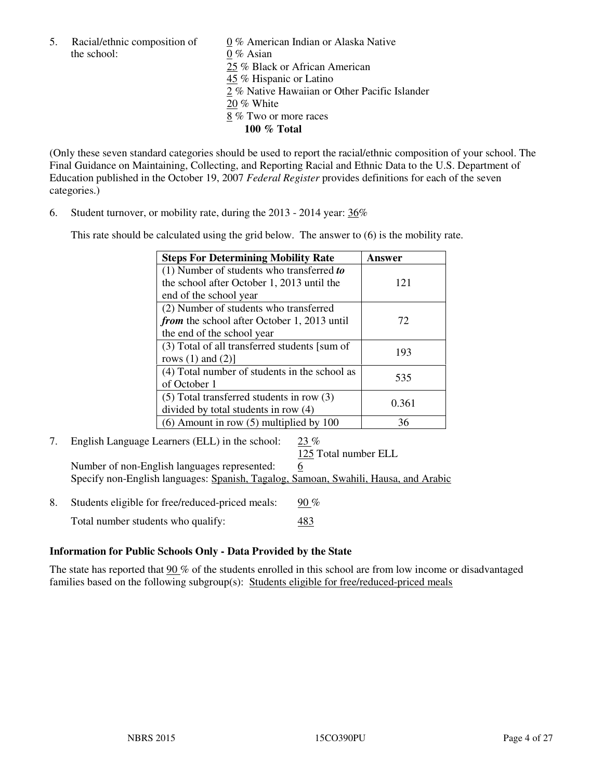the school: 0 % Asian

5. Racial/ethnic composition of 0 % American Indian or Alaska Native 25 % Black or African American 45 % Hispanic or Latino 2 % Native Hawaiian or Other Pacific Islander 20 % White 8 % Two or more races **100 % Total** 

(Only these seven standard categories should be used to report the racial/ethnic composition of your school. The Final Guidance on Maintaining, Collecting, and Reporting Racial and Ethnic Data to the U.S. Department of Education published in the October 19, 2007 *Federal Register* provides definitions for each of the seven categories.)

6. Student turnover, or mobility rate, during the 2013 - 2014 year: 36%

This rate should be calculated using the grid below. The answer to (6) is the mobility rate.

| <b>Steps For Determining Mobility Rate</b>         | Answer |
|----------------------------------------------------|--------|
| $(1)$ Number of students who transferred to        |        |
| the school after October 1, 2013 until the         | 121    |
| end of the school year                             |        |
| (2) Number of students who transferred             |        |
| <i>from</i> the school after October 1, 2013 until | 72     |
| the end of the school year                         |        |
| (3) Total of all transferred students [sum of      | 193    |
| rows $(1)$ and $(2)$ ]                             |        |
| (4) Total number of students in the school as      | 535    |
| of October 1                                       |        |
| $(5)$ Total transferred students in row $(3)$      | 0.361  |
| divided by total students in row (4)               |        |
| $(6)$ Amount in row $(5)$ multiplied by 100        | 36     |

7. English Language Learners (ELL) in the school: 23 % 125 Total number ELL Number of non-English languages represented: 6

Specify non-English languages: Spanish, Tagalog, Samoan, Swahili, Hausa, and Arabic

8. Students eligible for free/reduced-priced meals:  $90\%$ Total number students who qualify: 483

#### **Information for Public Schools Only - Data Provided by the State**

The state has reported that 90 % of the students enrolled in this school are from low income or disadvantaged families based on the following subgroup(s): Students eligible for free/reduced-priced meals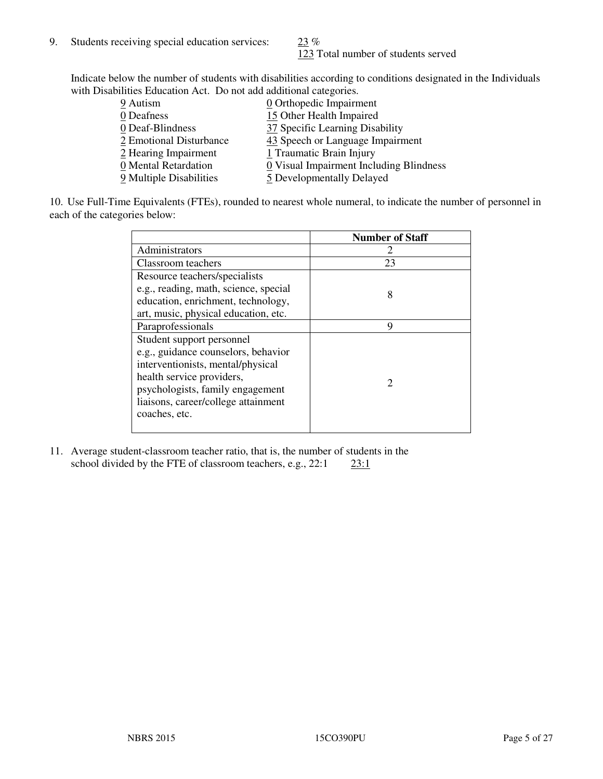123 Total number of students served

Indicate below the number of students with disabilities according to conditions designated in the Individuals with Disabilities Education Act. Do not add additional categories.

| 9 Autism                | $\underline{0}$ Orthopedic Impairment   |
|-------------------------|-----------------------------------------|
| 0 Deafness              | 15 Other Health Impaired                |
| 0 Deaf-Blindness        | 37 Specific Learning Disability         |
| 2 Emotional Disturbance | 43 Speech or Language Impairment        |
| 2 Hearing Impairment    | 1 Traumatic Brain Injury                |
| 0 Mental Retardation    | 0 Visual Impairment Including Blindness |
| 9 Multiple Disabilities | 5 Developmentally Delayed               |
|                         |                                         |

10. Use Full-Time Equivalents (FTEs), rounded to nearest whole numeral, to indicate the number of personnel in each of the categories below:

|                                       | <b>Number of Staff</b>      |
|---------------------------------------|-----------------------------|
| Administrators                        |                             |
| Classroom teachers                    | 23                          |
| Resource teachers/specialists         |                             |
| e.g., reading, math, science, special | 8                           |
| education, enrichment, technology,    |                             |
| art, music, physical education, etc.  |                             |
| Paraprofessionals                     | 9                           |
| Student support personnel             |                             |
| e.g., guidance counselors, behavior   |                             |
| interventionists, mental/physical     |                             |
| health service providers,             | $\mathcal{D}_{\mathcal{A}}$ |
| psychologists, family engagement      |                             |
| liaisons, career/college attainment   |                             |
| coaches, etc.                         |                             |
|                                       |                             |

11. Average student-classroom teacher ratio, that is, the number of students in the school divided by the FTE of classroom teachers, e.g.,  $22:1$   $23:1$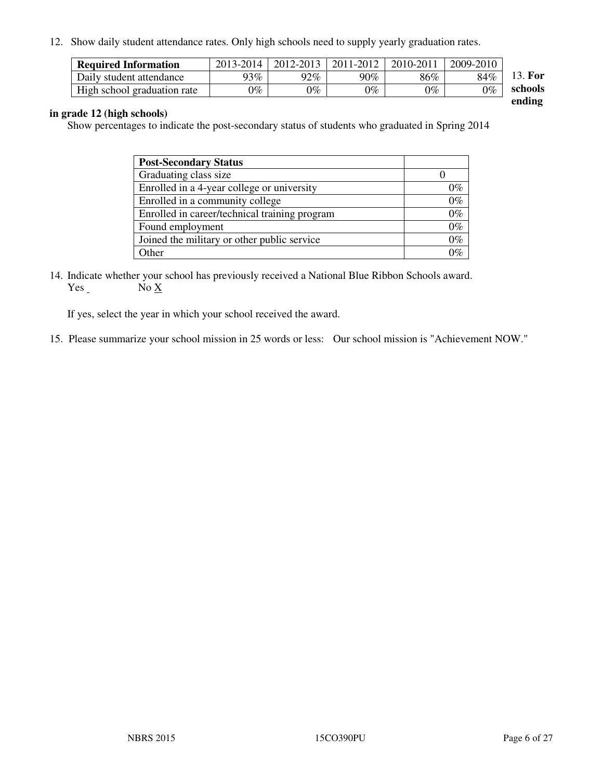12. Show daily student attendance rates. Only high schools need to supply yearly graduation rates.

| <b>Required Information</b> | 2013-2014 | 2012-2013 | 2011-2012 | 2010-2011 | 2009-2010 |                           |
|-----------------------------|-----------|-----------|-----------|-----------|-----------|---------------------------|
| Daily student attendance    | $93\%$    | 92%       | 90%       | 86%       | 84%       | 13. For                   |
| High school graduation rate | $0\%$     | $0\%$     | $0\%$     | $0\%$     | $0\%$     | schools<br>$\blacksquare$ |

**ending** 

#### **in grade 12 (high schools)**

Show percentages to indicate the post-secondary status of students who graduated in Spring 2014

| <b>Post-Secondary Status</b>                  |       |
|-----------------------------------------------|-------|
| Graduating class size                         |       |
| Enrolled in a 4-year college or university    | $0\%$ |
| Enrolled in a community college               | $0\%$ |
| Enrolled in career/technical training program | $0\%$ |
| Found employment                              | $0\%$ |
| Joined the military or other public service   | $0\%$ |
| Other                                         | $0\%$ |

14. Indicate whether your school has previously received a National Blue Ribbon Schools award.  $No X$ 

If yes, select the year in which your school received the award.

15. Please summarize your school mission in 25 words or less: Our school mission is "Achievement NOW."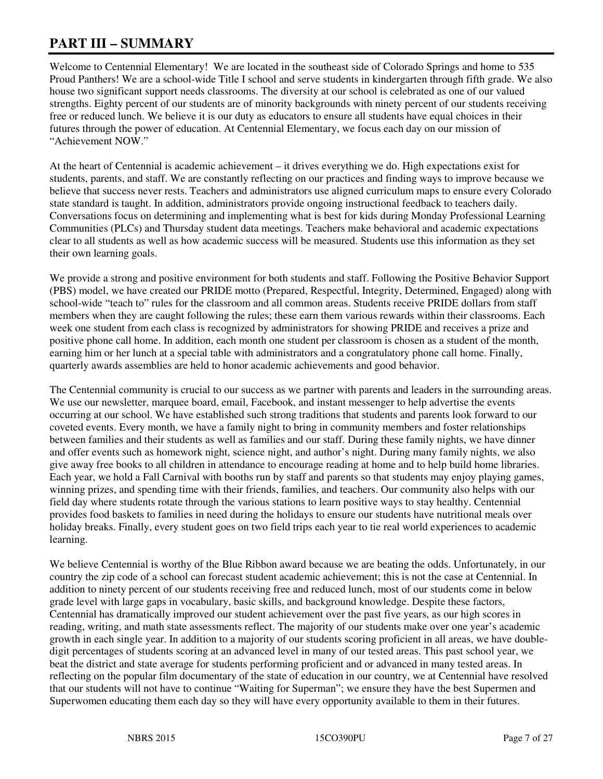# **PART III – SUMMARY**

Welcome to Centennial Elementary! We are located in the southeast side of Colorado Springs and home to 535 Proud Panthers! We are a school-wide Title I school and serve students in kindergarten through fifth grade. We also house two significant support needs classrooms. The diversity at our school is celebrated as one of our valued strengths. Eighty percent of our students are of minority backgrounds with ninety percent of our students receiving free or reduced lunch. We believe it is our duty as educators to ensure all students have equal choices in their futures through the power of education. At Centennial Elementary, we focus each day on our mission of "Achievement NOW."

At the heart of Centennial is academic achievement – it drives everything we do. High expectations exist for students, parents, and staff. We are constantly reflecting on our practices and finding ways to improve because we believe that success never rests. Teachers and administrators use aligned curriculum maps to ensure every Colorado state standard is taught. In addition, administrators provide ongoing instructional feedback to teachers daily. Conversations focus on determining and implementing what is best for kids during Monday Professional Learning Communities (PLCs) and Thursday student data meetings. Teachers make behavioral and academic expectations clear to all students as well as how academic success will be measured. Students use this information as they set their own learning goals.

We provide a strong and positive environment for both students and staff. Following the Positive Behavior Support (PBS) model, we have created our PRIDE motto (Prepared, Respectful, Integrity, Determined, Engaged) along with school-wide "teach to" rules for the classroom and all common areas. Students receive PRIDE dollars from staff members when they are caught following the rules; these earn them various rewards within their classrooms. Each week one student from each class is recognized by administrators for showing PRIDE and receives a prize and positive phone call home. In addition, each month one student per classroom is chosen as a student of the month, earning him or her lunch at a special table with administrators and a congratulatory phone call home. Finally, quarterly awards assemblies are held to honor academic achievements and good behavior.

The Centennial community is crucial to our success as we partner with parents and leaders in the surrounding areas. We use our newsletter, marquee board, email, Facebook, and instant messenger to help advertise the events occurring at our school. We have established such strong traditions that students and parents look forward to our coveted events. Every month, we have a family night to bring in community members and foster relationships between families and their students as well as families and our staff. During these family nights, we have dinner and offer events such as homework night, science night, and author's night. During many family nights, we also give away free books to all children in attendance to encourage reading at home and to help build home libraries. Each year, we hold a Fall Carnival with booths run by staff and parents so that students may enjoy playing games, winning prizes, and spending time with their friends, families, and teachers. Our community also helps with our field day where students rotate through the various stations to learn positive ways to stay healthy. Centennial provides food baskets to families in need during the holidays to ensure our students have nutritional meals over holiday breaks. Finally, every student goes on two field trips each year to tie real world experiences to academic learning.

We believe Centennial is worthy of the Blue Ribbon award because we are beating the odds. Unfortunately, in our country the zip code of a school can forecast student academic achievement; this is not the case at Centennial. In addition to ninety percent of our students receiving free and reduced lunch, most of our students come in below grade level with large gaps in vocabulary, basic skills, and background knowledge. Despite these factors, Centennial has dramatically improved our student achievement over the past five years, as our high scores in reading, writing, and math state assessments reflect. The majority of our students make over one year's academic growth in each single year. In addition to a majority of our students scoring proficient in all areas, we have doubledigit percentages of students scoring at an advanced level in many of our tested areas. This past school year, we beat the district and state average for students performing proficient and or advanced in many tested areas. In reflecting on the popular film documentary of the state of education in our country, we at Centennial have resolved that our students will not have to continue "Waiting for Superman"; we ensure they have the best Supermen and Superwomen educating them each day so they will have every opportunity available to them in their futures.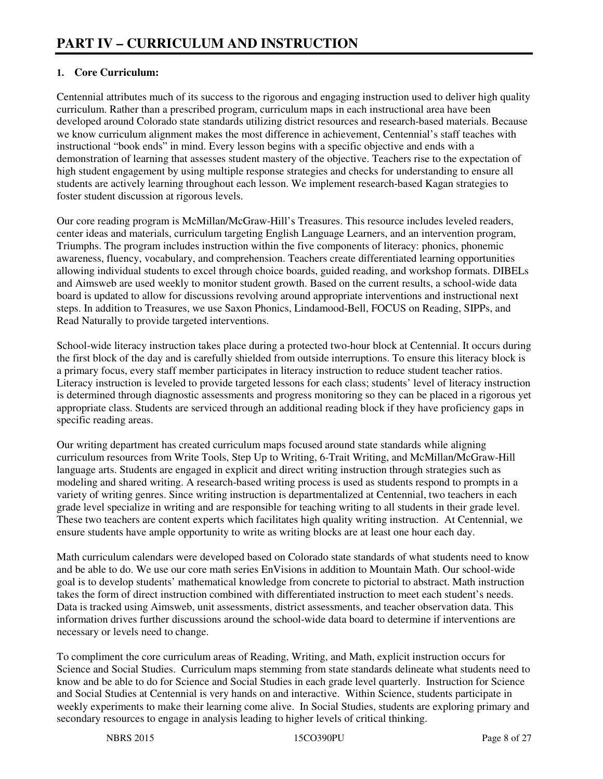#### **1. Core Curriculum:**

Centennial attributes much of its success to the rigorous and engaging instruction used to deliver high quality curriculum. Rather than a prescribed program, curriculum maps in each instructional area have been developed around Colorado state standards utilizing district resources and research-based materials. Because we know curriculum alignment makes the most difference in achievement, Centennial's staff teaches with instructional "book ends" in mind. Every lesson begins with a specific objective and ends with a demonstration of learning that assesses student mastery of the objective. Teachers rise to the expectation of high student engagement by using multiple response strategies and checks for understanding to ensure all students are actively learning throughout each lesson. We implement research-based Kagan strategies to foster student discussion at rigorous levels.

Our core reading program is McMillan/McGraw-Hill's Treasures. This resource includes leveled readers, center ideas and materials, curriculum targeting English Language Learners, and an intervention program, Triumphs. The program includes instruction within the five components of literacy: phonics, phonemic awareness, fluency, vocabulary, and comprehension. Teachers create differentiated learning opportunities allowing individual students to excel through choice boards, guided reading, and workshop formats. DIBELs and Aimsweb are used weekly to monitor student growth. Based on the current results, a school-wide data board is updated to allow for discussions revolving around appropriate interventions and instructional next steps. In addition to Treasures, we use Saxon Phonics, Lindamood-Bell, FOCUS on Reading, SIPPs, and Read Naturally to provide targeted interventions.

School-wide literacy instruction takes place during a protected two-hour block at Centennial. It occurs during the first block of the day and is carefully shielded from outside interruptions. To ensure this literacy block is a primary focus, every staff member participates in literacy instruction to reduce student teacher ratios. Literacy instruction is leveled to provide targeted lessons for each class; students' level of literacy instruction is determined through diagnostic assessments and progress monitoring so they can be placed in a rigorous yet appropriate class. Students are serviced through an additional reading block if they have proficiency gaps in specific reading areas.

Our writing department has created curriculum maps focused around state standards while aligning curriculum resources from Write Tools, Step Up to Writing, 6-Trait Writing, and McMillan/McGraw-Hill language arts. Students are engaged in explicit and direct writing instruction through strategies such as modeling and shared writing. A research-based writing process is used as students respond to prompts in a variety of writing genres. Since writing instruction is departmentalized at Centennial, two teachers in each grade level specialize in writing and are responsible for teaching writing to all students in their grade level. These two teachers are content experts which facilitates high quality writing instruction. At Centennial, we ensure students have ample opportunity to write as writing blocks are at least one hour each day.

Math curriculum calendars were developed based on Colorado state standards of what students need to know and be able to do. We use our core math series EnVisions in addition to Mountain Math. Our school-wide goal is to develop students' mathematical knowledge from concrete to pictorial to abstract. Math instruction takes the form of direct instruction combined with differentiated instruction to meet each student's needs. Data is tracked using Aimsweb, unit assessments, district assessments, and teacher observation data. This information drives further discussions around the school-wide data board to determine if interventions are necessary or levels need to change.

To compliment the core curriculum areas of Reading, Writing, and Math, explicit instruction occurs for Science and Social Studies. Curriculum maps stemming from state standards delineate what students need to know and be able to do for Science and Social Studies in each grade level quarterly. Instruction for Science and Social Studies at Centennial is very hands on and interactive. Within Science, students participate in weekly experiments to make their learning come alive. In Social Studies, students are exploring primary and secondary resources to engage in analysis leading to higher levels of critical thinking.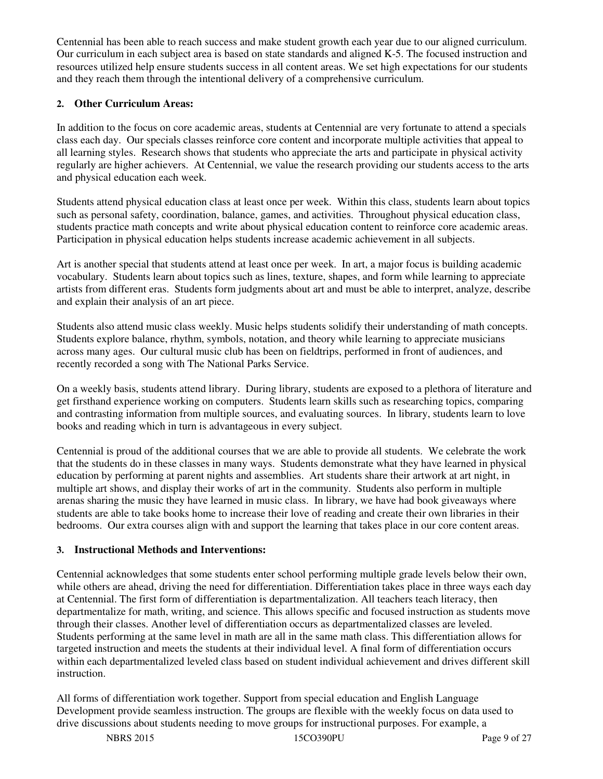Centennial has been able to reach success and make student growth each year due to our aligned curriculum. Our curriculum in each subject area is based on state standards and aligned K-5. The focused instruction and resources utilized help ensure students success in all content areas. We set high expectations for our students and they reach them through the intentional delivery of a comprehensive curriculum.

#### **2. Other Curriculum Areas:**

In addition to the focus on core academic areas, students at Centennial are very fortunate to attend a specials class each day. Our specials classes reinforce core content and incorporate multiple activities that appeal to all learning styles. Research shows that students who appreciate the arts and participate in physical activity regularly are higher achievers. At Centennial, we value the research providing our students access to the arts and physical education each week.

Students attend physical education class at least once per week. Within this class, students learn about topics such as personal safety, coordination, balance, games, and activities. Throughout physical education class, students practice math concepts and write about physical education content to reinforce core academic areas. Participation in physical education helps students increase academic achievement in all subjects.

Art is another special that students attend at least once per week. In art, a major focus is building academic vocabulary. Students learn about topics such as lines, texture, shapes, and form while learning to appreciate artists from different eras. Students form judgments about art and must be able to interpret, analyze, describe and explain their analysis of an art piece.

Students also attend music class weekly. Music helps students solidify their understanding of math concepts. Students explore balance, rhythm, symbols, notation, and theory while learning to appreciate musicians across many ages. Our cultural music club has been on fieldtrips, performed in front of audiences, and recently recorded a song with The National Parks Service.

On a weekly basis, students attend library. During library, students are exposed to a plethora of literature and get firsthand experience working on computers. Students learn skills such as researching topics, comparing and contrasting information from multiple sources, and evaluating sources. In library, students learn to love books and reading which in turn is advantageous in every subject.

Centennial is proud of the additional courses that we are able to provide all students. We celebrate the work that the students do in these classes in many ways. Students demonstrate what they have learned in physical education by performing at parent nights and assemblies. Art students share their artwork at art night, in multiple art shows, and display their works of art in the community. Students also perform in multiple arenas sharing the music they have learned in music class. In library, we have had book giveaways where students are able to take books home to increase their love of reading and create their own libraries in their bedrooms. Our extra courses align with and support the learning that takes place in our core content areas.

#### **3. Instructional Methods and Interventions:**

Centennial acknowledges that some students enter school performing multiple grade levels below their own, while others are ahead, driving the need for differentiation. Differentiation takes place in three ways each day at Centennial. The first form of differentiation is departmentalization. All teachers teach literacy, then departmentalize for math, writing, and science. This allows specific and focused instruction as students move through their classes. Another level of differentiation occurs as departmentalized classes are leveled. Students performing at the same level in math are all in the same math class. This differentiation allows for targeted instruction and meets the students at their individual level. A final form of differentiation occurs within each departmentalized leveled class based on student individual achievement and drives different skill instruction.

All forms of differentiation work together. Support from special education and English Language Development provide seamless instruction. The groups are flexible with the weekly focus on data used to drive discussions about students needing to move groups for instructional purposes. For example, a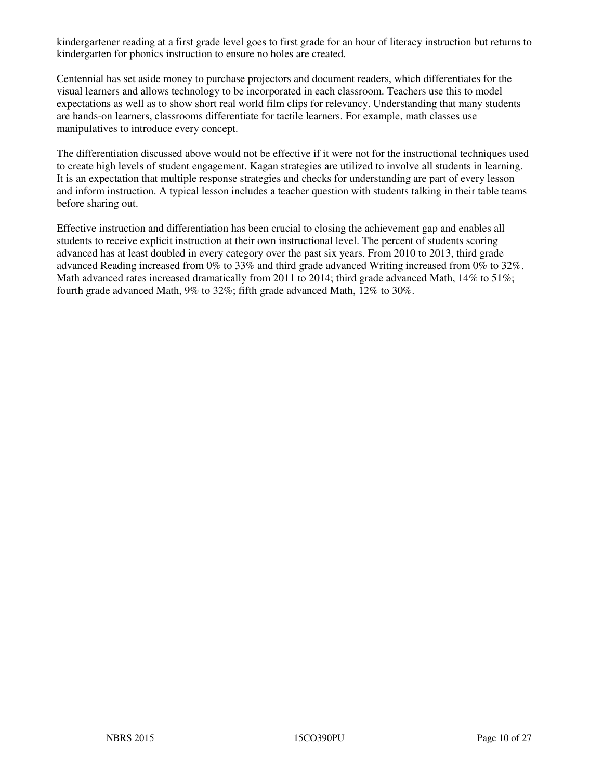kindergartener reading at a first grade level goes to first grade for an hour of literacy instruction but returns to kindergarten for phonics instruction to ensure no holes are created.

Centennial has set aside money to purchase projectors and document readers, which differentiates for the visual learners and allows technology to be incorporated in each classroom. Teachers use this to model expectations as well as to show short real world film clips for relevancy. Understanding that many students are hands-on learners, classrooms differentiate for tactile learners. For example, math classes use manipulatives to introduce every concept.

The differentiation discussed above would not be effective if it were not for the instructional techniques used to create high levels of student engagement. Kagan strategies are utilized to involve all students in learning. It is an expectation that multiple response strategies and checks for understanding are part of every lesson and inform instruction. A typical lesson includes a teacher question with students talking in their table teams before sharing out.

Effective instruction and differentiation has been crucial to closing the achievement gap and enables all students to receive explicit instruction at their own instructional level. The percent of students scoring advanced has at least doubled in every category over the past six years. From 2010 to 2013, third grade advanced Reading increased from 0% to 33% and third grade advanced Writing increased from 0% to 32%. Math advanced rates increased dramatically from 2011 to 2014; third grade advanced Math, 14% to 51%; fourth grade advanced Math, 9% to 32%; fifth grade advanced Math, 12% to 30%.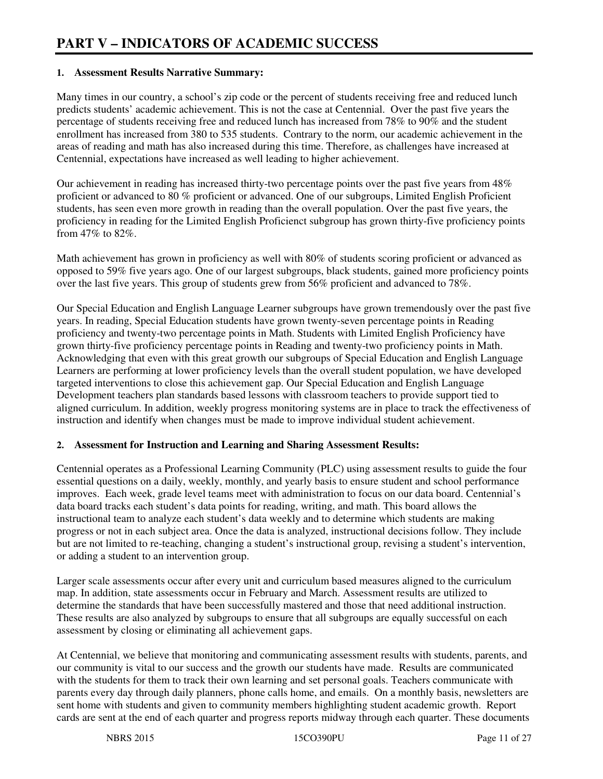#### **1. Assessment Results Narrative Summary:**

Many times in our country, a school's zip code or the percent of students receiving free and reduced lunch predicts students' academic achievement. This is not the case at Centennial. Over the past five years the percentage of students receiving free and reduced lunch has increased from 78% to 90% and the student enrollment has increased from 380 to 535 students. Contrary to the norm, our academic achievement in the areas of reading and math has also increased during this time. Therefore, as challenges have increased at Centennial, expectations have increased as well leading to higher achievement.

Our achievement in reading has increased thirty-two percentage points over the past five years from 48% proficient or advanced to 80 % proficient or advanced. One of our subgroups, Limited English Proficient students, has seen even more growth in reading than the overall population. Over the past five years, the proficiency in reading for the Limited English Proficienct subgroup has grown thirty-five proficiency points from  $47\%$  to  $82\%$ .

Math achievement has grown in proficiency as well with 80% of students scoring proficient or advanced as opposed to 59% five years ago. One of our largest subgroups, black students, gained more proficiency points over the last five years. This group of students grew from 56% proficient and advanced to 78%.

Our Special Education and English Language Learner subgroups have grown tremendously over the past five years. In reading, Special Education students have grown twenty-seven percentage points in Reading proficiency and twenty-two percentage points in Math. Students with Limited English Proficiency have grown thirty-five proficiency percentage points in Reading and twenty-two proficiency points in Math. Acknowledging that even with this great growth our subgroups of Special Education and English Language Learners are performing at lower proficiency levels than the overall student population, we have developed targeted interventions to close this achievement gap. Our Special Education and English Language Development teachers plan standards based lessons with classroom teachers to provide support tied to aligned curriculum. In addition, weekly progress monitoring systems are in place to track the effectiveness of instruction and identify when changes must be made to improve individual student achievement.

#### **2. Assessment for Instruction and Learning and Sharing Assessment Results:**

Centennial operates as a Professional Learning Community (PLC) using assessment results to guide the four essential questions on a daily, weekly, monthly, and yearly basis to ensure student and school performance improves. Each week, grade level teams meet with administration to focus on our data board. Centennial's data board tracks each student's data points for reading, writing, and math. This board allows the instructional team to analyze each student's data weekly and to determine which students are making progress or not in each subject area. Once the data is analyzed, instructional decisions follow. They include but are not limited to re-teaching, changing a student's instructional group, revising a student's intervention, or adding a student to an intervention group.

Larger scale assessments occur after every unit and curriculum based measures aligned to the curriculum map. In addition, state assessments occur in February and March. Assessment results are utilized to determine the standards that have been successfully mastered and those that need additional instruction. These results are also analyzed by subgroups to ensure that all subgroups are equally successful on each assessment by closing or eliminating all achievement gaps.

At Centennial, we believe that monitoring and communicating assessment results with students, parents, and our community is vital to our success and the growth our students have made. Results are communicated with the students for them to track their own learning and set personal goals. Teachers communicate with parents every day through daily planners, phone calls home, and emails. On a monthly basis, newsletters are sent home with students and given to community members highlighting student academic growth. Report cards are sent at the end of each quarter and progress reports midway through each quarter. These documents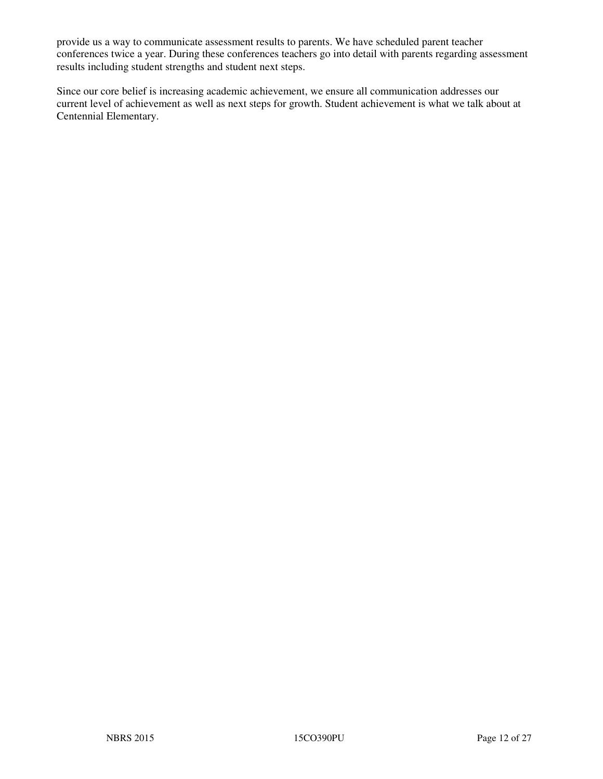provide us a way to communicate assessment results to parents. We have scheduled parent teacher conferences twice a year. During these conferences teachers go into detail with parents regarding assessment results including student strengths and student next steps.

Since our core belief is increasing academic achievement, we ensure all communication addresses our current level of achievement as well as next steps for growth. Student achievement is what we talk about at Centennial Elementary.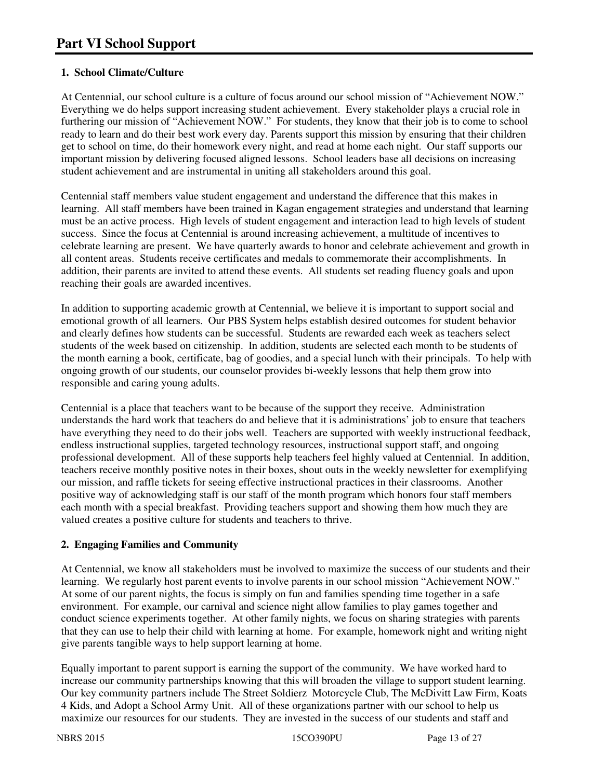#### **1. School Climate/Culture**

At Centennial, our school culture is a culture of focus around our school mission of "Achievement NOW." Everything we do helps support increasing student achievement. Every stakeholder plays a crucial role in furthering our mission of "Achievement NOW." For students, they know that their job is to come to school ready to learn and do their best work every day. Parents support this mission by ensuring that their children get to school on time, do their homework every night, and read at home each night. Our staff supports our important mission by delivering focused aligned lessons. School leaders base all decisions on increasing student achievement and are instrumental in uniting all stakeholders around this goal.

Centennial staff members value student engagement and understand the difference that this makes in learning. All staff members have been trained in Kagan engagement strategies and understand that learning must be an active process. High levels of student engagement and interaction lead to high levels of student success. Since the focus at Centennial is around increasing achievement, a multitude of incentives to celebrate learning are present. We have quarterly awards to honor and celebrate achievement and growth in all content areas. Students receive certificates and medals to commemorate their accomplishments. In addition, their parents are invited to attend these events. All students set reading fluency goals and upon reaching their goals are awarded incentives.

In addition to supporting academic growth at Centennial, we believe it is important to support social and emotional growth of all learners. Our PBS System helps establish desired outcomes for student behavior and clearly defines how students can be successful. Students are rewarded each week as teachers select students of the week based on citizenship. In addition, students are selected each month to be students of the month earning a book, certificate, bag of goodies, and a special lunch with their principals. To help with ongoing growth of our students, our counselor provides bi-weekly lessons that help them grow into responsible and caring young adults.

Centennial is a place that teachers want to be because of the support they receive. Administration understands the hard work that teachers do and believe that it is administrations' job to ensure that teachers have everything they need to do their jobs well. Teachers are supported with weekly instructional feedback, endless instructional supplies, targeted technology resources, instructional support staff, and ongoing professional development. All of these supports help teachers feel highly valued at Centennial. In addition, teachers receive monthly positive notes in their boxes, shout outs in the weekly newsletter for exemplifying our mission, and raffle tickets for seeing effective instructional practices in their classrooms. Another positive way of acknowledging staff is our staff of the month program which honors four staff members each month with a special breakfast. Providing teachers support and showing them how much they are valued creates a positive culture for students and teachers to thrive.

#### **2. Engaging Families and Community**

At Centennial, we know all stakeholders must be involved to maximize the success of our students and their learning. We regularly host parent events to involve parents in our school mission "Achievement NOW." At some of our parent nights, the focus is simply on fun and families spending time together in a safe environment. For example, our carnival and science night allow families to play games together and conduct science experiments together. At other family nights, we focus on sharing strategies with parents that they can use to help their child with learning at home. For example, homework night and writing night give parents tangible ways to help support learning at home.

Equally important to parent support is earning the support of the community. We have worked hard to increase our community partnerships knowing that this will broaden the village to support student learning. Our key community partners include The Street Soldierz Motorcycle Club, The McDivitt Law Firm, Koats 4 Kids, and Adopt a School Army Unit. All of these organizations partner with our school to help us maximize our resources for our students. They are invested in the success of our students and staff and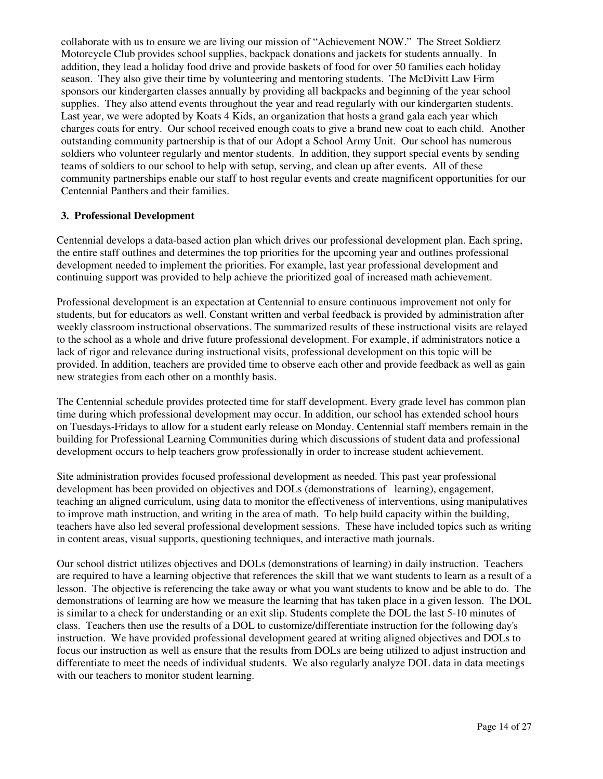collaborate with us to ensure we are living our mission of "Achievement NOW." The Street Soldierz Motorcycle Club provides school supplies, backpack donations and jackets for students annually. In addition, they lead a holiday food drive and provide baskets of food for over 50 families each holiday season. They also give their time by volunteering and mentoring students. The McDivitt Law Firm sponsors our kindergarten classes annually by providing all backpacks and beginning of the year school supplies. They also attend events throughout the year and read regularly with our kindergarten students. Last year, we were adopted by Koats 4 Kids, an organization that hosts a grand gala each year which charges coats for entry. Our school received enough coats to give a brand new coat to each child. Another outstanding community partnership is that of our Adopt a School Army Unit. Our school has numerous soldiers who volunteer regularly and mentor students. In addition, they support special events by sending teams of soldiers to our school to help with setup, serving, and clean up after events. All of these community partnerships enable our staff to host regular events and create magnificent opportunities for our Centennial Panthers and their families.

#### **3. Professional Development**

Centennial develops a data-based action plan which drives our professional development plan. Each spring, the entire staff outlines and determines the top priorities for the upcoming year and outlines professional development needed to implement the priorities. For example, last year professional development and continuing support was provided to help achieve the prioritized goal of increased math achievement.

Professional development is an expectation at Centennial to ensure continuous improvement not only for students, but for educators as well. Constant written and verbal feedback is provided by administration after weekly classroom instructional observations. The summarized results of these instructional visits are relayed to the school as a whole and drive future professional development. For example, if administrators notice a lack of rigor and relevance during instructional visits, professional development on this topic will be provided. In addition, teachers are provided time to observe each other and provide feedback as well as gain new strategies from each other on a monthly basis.

The Centennial schedule provides protected time for staff development. Every grade level has common plan time during which professional development may occur. In addition, our school has extended school hours on Tuesdays-Fridays to allow for a student early release on Monday. Centennial staff members remain in the building for Professional Learning Communities during which discussions of student data and professional development occurs to help teachers grow professionally in order to increase student achievement.

Site administration provides focused professional development as needed. This past year professional development has been provided on objectives and DOLs (demonstrations of learning), engagement, teaching an aligned curriculum, using data to monitor the effectiveness of interventions, using manipulatives to improve math instruction, and writing in the area of math. To help build capacity within the building, teachers have also led several professional development sessions. These have included topics such as writing in content areas, visual supports, questioning techniques, and interactive math journals.

Our school district utilizes objectives and DOLs (demonstrations of learning) in daily instruction. Teachers are required to have a learning objective that references the skill that we want students to learn as a result of a lesson. The objective is referencing the take away or what you want students to know and be able to do. The demonstrations of learning are how we measure the learning that has taken place in a given lesson. The DOL is similar to a check for understanding or an exit slip. Students complete the DOL the last 5-10 minutes of class. Teachers then use the results of a DOL to customize/differentiate instruction for the following day's instruction. We have provided professional development geared at writing aligned objectives and DOLs to focus our instruction as well as ensure that the results from DOLs are being utilized to adjust instruction and differentiate to meet the needs of individual students. We also regularly analyze DOL data in data meetings with our teachers to monitor student learning.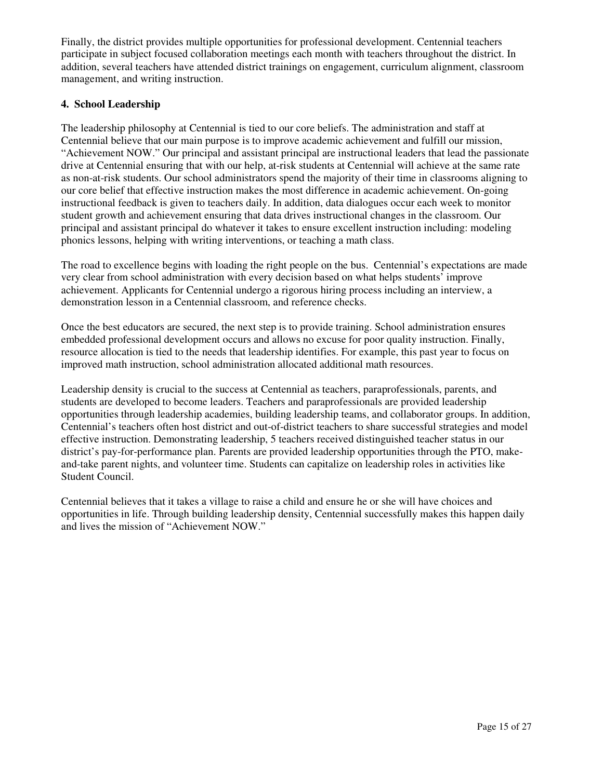Finally, the district provides multiple opportunities for professional development. Centennial teachers participate in subject focused collaboration meetings each month with teachers throughout the district. In addition, several teachers have attended district trainings on engagement, curriculum alignment, classroom management, and writing instruction.

#### **4. School Leadership**

The leadership philosophy at Centennial is tied to our core beliefs. The administration and staff at Centennial believe that our main purpose is to improve academic achievement and fulfill our mission, "Achievement NOW." Our principal and assistant principal are instructional leaders that lead the passionate drive at Centennial ensuring that with our help, at-risk students at Centennial will achieve at the same rate as non-at-risk students. Our school administrators spend the majority of their time in classrooms aligning to our core belief that effective instruction makes the most difference in academic achievement. On-going instructional feedback is given to teachers daily. In addition, data dialogues occur each week to monitor student growth and achievement ensuring that data drives instructional changes in the classroom. Our principal and assistant principal do whatever it takes to ensure excellent instruction including: modeling phonics lessons, helping with writing interventions, or teaching a math class.

The road to excellence begins with loading the right people on the bus. Centennial's expectations are made very clear from school administration with every decision based on what helps students' improve achievement. Applicants for Centennial undergo a rigorous hiring process including an interview, a demonstration lesson in a Centennial classroom, and reference checks.

Once the best educators are secured, the next step is to provide training. School administration ensures embedded professional development occurs and allows no excuse for poor quality instruction. Finally, resource allocation is tied to the needs that leadership identifies. For example, this past year to focus on improved math instruction, school administration allocated additional math resources.

Leadership density is crucial to the success at Centennial as teachers, paraprofessionals, parents, and students are developed to become leaders. Teachers and paraprofessionals are provided leadership opportunities through leadership academies, building leadership teams, and collaborator groups. In addition, Centennial's teachers often host district and out-of-district teachers to share successful strategies and model effective instruction. Demonstrating leadership, 5 teachers received distinguished teacher status in our district's pay-for-performance plan. Parents are provided leadership opportunities through the PTO, makeand-take parent nights, and volunteer time. Students can capitalize on leadership roles in activities like Student Council.

Centennial believes that it takes a village to raise a child and ensure he or she will have choices and opportunities in life. Through building leadership density, Centennial successfully makes this happen daily and lives the mission of "Achievement NOW."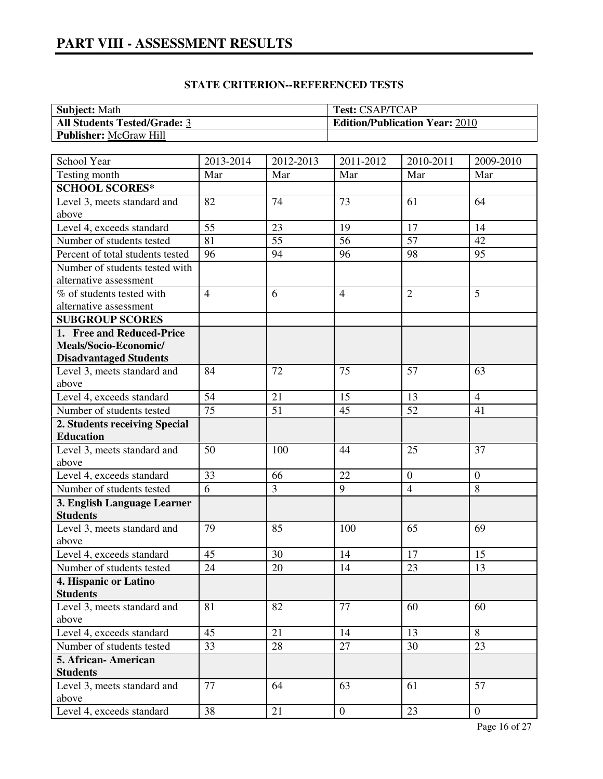| <b>Subject: Math</b>          | <b>Test: CSAP/TCAP</b>                |
|-------------------------------|---------------------------------------|
| All Students Tested/Grade: 3  | <b>Edition/Publication Year: 2010</b> |
| <b>Publisher:</b> McGraw Hill |                                       |

| School Year                          | 2013-2014      | 2012-2013 | 2011-2012        | 2010-2011       | 2009-2010      |
|--------------------------------------|----------------|-----------|------------------|-----------------|----------------|
| Testing month                        | Mar            | Mar       | Mar              | Mar             | Mar            |
| <b>SCHOOL SCORES*</b>                |                |           |                  |                 |                |
| Level 3, meets standard and          | 82             | 74        | 73               | 61              | 64             |
| above                                |                |           |                  |                 |                |
| Level 4, exceeds standard            | 55             | 23        | 19               | 17              | 14             |
| Number of students tested            | 81             | 55        | 56               | $\overline{57}$ | 42             |
| Percent of total students tested     | 96             | 94        | 96               | 98              | 95             |
| Number of students tested with       |                |           |                  |                 |                |
| alternative assessment               |                |           |                  |                 |                |
| % of students tested with            | $\overline{4}$ | 6         | $\overline{4}$   | $\overline{2}$  | 5              |
| alternative assessment               |                |           |                  |                 |                |
| <b>SUBGROUP SCORES</b>               |                |           |                  |                 |                |
| 1. Free and Reduced-Price            |                |           |                  |                 |                |
| Meals/Socio-Economic/                |                |           |                  |                 |                |
| <b>Disadvantaged Students</b>        |                |           |                  |                 |                |
| Level 3, meets standard and          | 84             | 72        | 75               | 57              | 63             |
| above                                |                |           |                  |                 |                |
| Level 4, exceeds standard            | 54             | 21        | 15               | 13              | $\overline{4}$ |
| Number of students tested            | 75             | 51        | 45               | 52              | 41             |
| 2. Students receiving Special        |                |           |                  |                 |                |
| <b>Education</b>                     |                |           |                  |                 |                |
| Level 3, meets standard and<br>above | 50             | 100       | 44               | 25              | 37             |
| Level 4, exceeds standard            | 33             | 66        | 22               | $\overline{0}$  | $\theta$       |
| Number of students tested            | $\overline{6}$ | 3         | 9                | $\overline{4}$  | 8              |
| 3. English Language Learner          |                |           |                  |                 |                |
| <b>Students</b>                      |                |           |                  |                 |                |
| Level 3, meets standard and          | 79             | 85        | 100              | 65              | 69             |
| above                                |                |           |                  |                 |                |
| Level 4, exceeds standard            | 45             | 30        | 14               | 17              | 15             |
| Number of students tested            | 24             | 20        | 14               | 23              | 13             |
| 4. Hispanic or Latino                |                |           |                  |                 |                |
| <b>Students</b>                      |                |           |                  |                 |                |
| Level 3, meets standard and          | 81             | 82        | 77               | 60              | 60             |
| above                                |                |           |                  |                 |                |
| Level 4, exceeds standard            | 45             | 21        | 14               | 13              | 8              |
| Number of students tested            | 33             | 28        | 27               | 30              | 23             |
| 5. African- American                 |                |           |                  |                 |                |
| <b>Students</b>                      |                |           |                  |                 |                |
| Level 3, meets standard and<br>above | 77             | 64        | 63               | 61              | 57             |
| Level 4, exceeds standard            | 38             | 21        | $\boldsymbol{0}$ | 23              | $\overline{0}$ |
|                                      |                |           |                  |                 |                |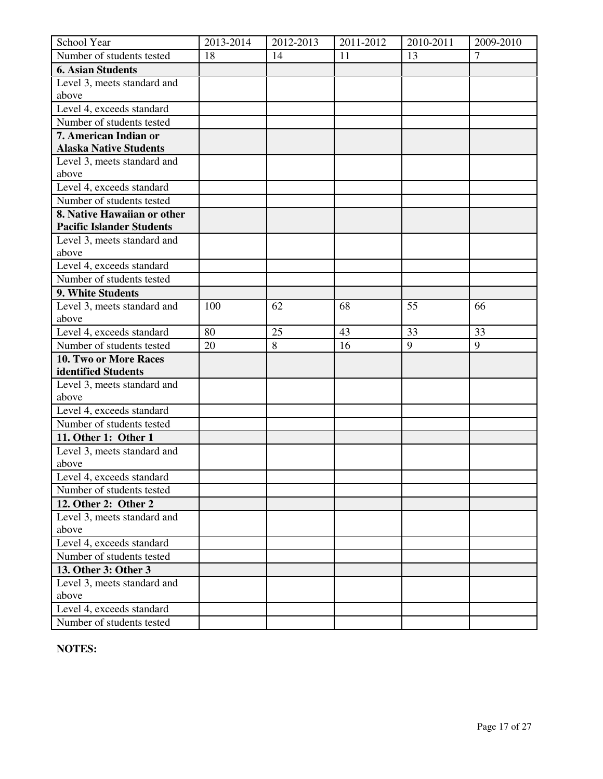| School Year                                                  | 2013-2014 | 2012-2013 | 2011-2012 | 2010-2011 | 2009-2010      |
|--------------------------------------------------------------|-----------|-----------|-----------|-----------|----------------|
| Number of students tested                                    | 18        | 14        | 11        | 13        | $\overline{7}$ |
| <b>6. Asian Students</b>                                     |           |           |           |           |                |
| Level 3, meets standard and                                  |           |           |           |           |                |
| above                                                        |           |           |           |           |                |
| Level 4, exceeds standard                                    |           |           |           |           |                |
| Number of students tested                                    |           |           |           |           |                |
| 7. American Indian or                                        |           |           |           |           |                |
| <b>Alaska Native Students</b><br>Level 3, meets standard and |           |           |           |           |                |
| above                                                        |           |           |           |           |                |
| Level 4, exceeds standard                                    |           |           |           |           |                |
| Number of students tested                                    |           |           |           |           |                |
| 8. Native Hawaiian or other                                  |           |           |           |           |                |
| <b>Pacific Islander Students</b>                             |           |           |           |           |                |
| Level 3, meets standard and                                  |           |           |           |           |                |
| above                                                        |           |           |           |           |                |
| Level 4, exceeds standard                                    |           |           |           |           |                |
| Number of students tested                                    |           |           |           |           |                |
| 9. White Students                                            |           |           |           |           |                |
| Level 3, meets standard and                                  | 100       | 62        | 68        | 55        | 66             |
| above                                                        |           |           |           |           |                |
| Level 4, exceeds standard                                    | 80        | 25        | 43        | 33        | 33             |
| Number of students tested                                    | 20        | 8         | 16        | 9         | 9              |
| 10. Two or More Races                                        |           |           |           |           |                |
| identified Students                                          |           |           |           |           |                |
| Level 3, meets standard and                                  |           |           |           |           |                |
| above                                                        |           |           |           |           |                |
| Level 4, exceeds standard                                    |           |           |           |           |                |
| Number of students tested                                    |           |           |           |           |                |
| 11. Other 1: Other 1                                         |           |           |           |           |                |
| Level 3, meets standard and                                  |           |           |           |           |                |
| above                                                        |           |           |           |           |                |
| Level 4, exceeds standard                                    |           |           |           |           |                |
| Number of students tested                                    |           |           |           |           |                |
| 12. Other 2: Other 2                                         |           |           |           |           |                |
| Level 3, meets standard and                                  |           |           |           |           |                |
| above                                                        |           |           |           |           |                |
| Level 4, exceeds standard                                    |           |           |           |           |                |
| Number of students tested                                    |           |           |           |           |                |
| 13. Other 3: Other 3                                         |           |           |           |           |                |
| Level 3, meets standard and                                  |           |           |           |           |                |
| above                                                        |           |           |           |           |                |
| Level 4, exceeds standard                                    |           |           |           |           |                |
| Number of students tested                                    |           |           |           |           |                |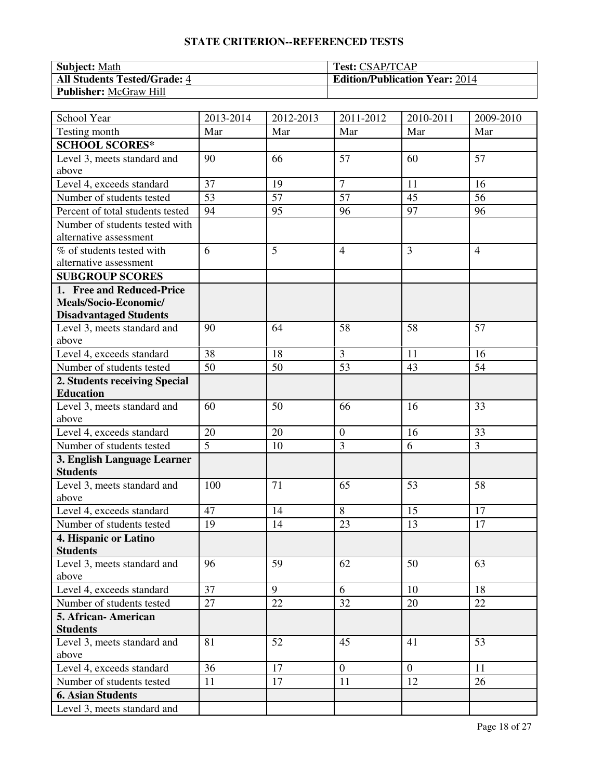| <b>Subject:</b> Math                | <b>Test: CSAP/TCAP</b>                |
|-------------------------------------|---------------------------------------|
| <b>All Students Tested/Grade: 4</b> | <b>Edition/Publication Year: 2014</b> |
| <b>Publisher:</b> McGraw Hill       |                                       |

| School Year                                    | 2013-2014 | 2012-2013 | 2011-2012        | 2010-2011      | 2009-2010      |
|------------------------------------------------|-----------|-----------|------------------|----------------|----------------|
| Testing month                                  | Mar       | Mar       | Mar              | Mar            | Mar            |
| <b>SCHOOL SCORES*</b>                          |           |           |                  |                |                |
| Level 3, meets standard and                    | 90        | 66        | 57               | 60             | 57             |
| above                                          |           |           |                  |                |                |
| Level 4, exceeds standard                      | 37        | 19        | $\overline{7}$   | 11             | 16             |
| Number of students tested                      | 53        | 57        | 57               | 45             | 56             |
| Percent of total students tested               | 94        | 95        | 96               | 97             | 96             |
| Number of students tested with                 |           |           |                  |                |                |
| alternative assessment                         |           |           |                  |                |                |
| % of students tested with                      | 6         | 5         | $\overline{4}$   | $\overline{3}$ | $\overline{4}$ |
| alternative assessment                         |           |           |                  |                |                |
| <b>SUBGROUP SCORES</b>                         |           |           |                  |                |                |
| 1. Free and Reduced-Price                      |           |           |                  |                |                |
| Meals/Socio-Economic/                          |           |           |                  |                |                |
| <b>Disadvantaged Students</b>                  |           |           |                  |                |                |
| Level 3, meets standard and<br>above           | 90        | 64        | 58               | 58             | 57             |
| Level 4, exceeds standard                      | 38        | 18        | 3                | 11             | 16             |
| Number of students tested                      | 50        | 50        | 53               | 43             | 54             |
| 2. Students receiving Special                  |           |           |                  |                |                |
| <b>Education</b>                               |           |           |                  |                |                |
| Level 3, meets standard and                    | 60        | 50        | 66               | 16             | 33             |
| above                                          |           |           |                  |                |                |
| Level 4, exceeds standard                      | 20        | 20        | $\boldsymbol{0}$ | 16             | 33             |
| Number of students tested                      | 5         | 10        | $\overline{3}$   | 6              | $\overline{3}$ |
| 3. English Language Learner                    |           |           |                  |                |                |
| <b>Students</b>                                |           |           |                  |                |                |
| Level 3, meets standard and                    | 100       | 71        | 65               | 53             | 58             |
| above                                          |           |           |                  |                |                |
| Level 4, exceeds standard                      | 47        | 14        | 8                | 15             | 17             |
| Number of students tested                      | 19        | 14        | 23               | 13             | 17             |
| 4. Hispanic or Latino                          |           |           |                  |                |                |
| <b>Students</b>                                |           |           |                  |                |                |
| Level 3, meets standard and                    | 96        | 59        | 62               | 50             | 63             |
| above                                          | 37        | 9         | 6                | 10             | 18             |
| Level 4, exceeds standard                      |           |           |                  |                |                |
| Number of students tested                      | 27        | 22        | 32               | 20             | 22             |
| 5. African-American                            |           |           |                  |                |                |
| <b>Students</b><br>Level 3, meets standard and | 81        | 52        | 45               | 41             | 53             |
| above                                          |           |           |                  |                |                |
| Level 4, exceeds standard                      | 36        | 17        | $\mathbf{0}$     | $\overline{0}$ | 11             |
| Number of students tested                      | 11        | 17        | 11               | 12             | 26             |
| <b>6. Asian Students</b>                       |           |           |                  |                |                |
| Level 3, meets standard and                    |           |           |                  |                |                |
|                                                |           |           |                  |                |                |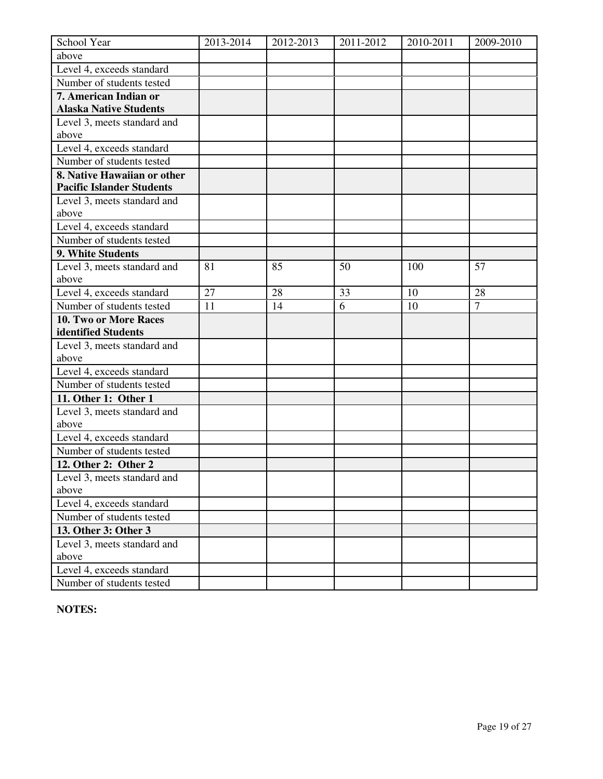| School Year                          | 2013-2014 | 2012-2013 | 2011-2012 | 2010-2011 | 2009-2010      |
|--------------------------------------|-----------|-----------|-----------|-----------|----------------|
| above                                |           |           |           |           |                |
| Level 4, exceeds standard            |           |           |           |           |                |
| Number of students tested            |           |           |           |           |                |
| 7. American Indian or                |           |           |           |           |                |
| <b>Alaska Native Students</b>        |           |           |           |           |                |
| Level 3, meets standard and          |           |           |           |           |                |
| above                                |           |           |           |           |                |
| Level 4, exceeds standard            |           |           |           |           |                |
| Number of students tested            |           |           |           |           |                |
| 8. Native Hawaiian or other          |           |           |           |           |                |
| <b>Pacific Islander Students</b>     |           |           |           |           |                |
| Level 3, meets standard and          |           |           |           |           |                |
| above                                |           |           |           |           |                |
| Level 4, exceeds standard            |           |           |           |           |                |
| Number of students tested            |           |           |           |           |                |
| 9. White Students                    |           |           |           |           |                |
| Level 3, meets standard and          | 81        | 85        | 50        | 100       | 57             |
| above                                |           |           |           |           |                |
| Level 4, exceeds standard            | 27        | 28        | 33        | 10        | 28             |
| Number of students tested            | 11        | 14        | 6         | 10        | $\overline{7}$ |
| 10. Two or More Races                |           |           |           |           |                |
| identified Students                  |           |           |           |           |                |
| Level 3, meets standard and<br>above |           |           |           |           |                |
| Level 4, exceeds standard            |           |           |           |           |                |
| Number of students tested            |           |           |           |           |                |
| 11. Other 1: Other 1                 |           |           |           |           |                |
| Level 3, meets standard and          |           |           |           |           |                |
| above                                |           |           |           |           |                |
| Level 4, exceeds standard            |           |           |           |           |                |
| Number of students tested            |           |           |           |           |                |
| 12. Other 2: Other 2                 |           |           |           |           |                |
| Level 3, meets standard and          |           |           |           |           |                |
| above                                |           |           |           |           |                |
| Level 4, exceeds standard            |           |           |           |           |                |
| Number of students tested            |           |           |           |           |                |
| 13. Other 3: Other 3                 |           |           |           |           |                |
| Level 3, meets standard and          |           |           |           |           |                |
| above                                |           |           |           |           |                |
| Level 4, exceeds standard            |           |           |           |           |                |
| Number of students tested            |           |           |           |           |                |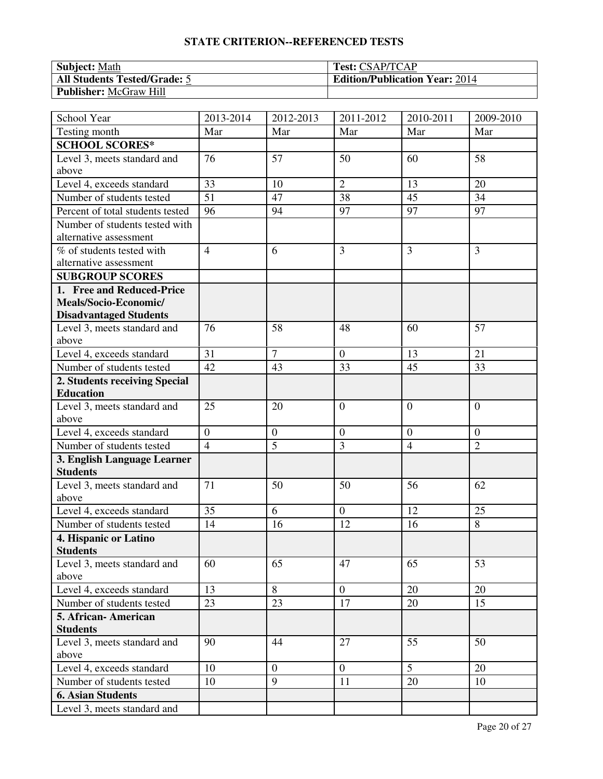| <b>Subject:</b> Math                | <b>Test: CSAP/TCAP</b>                |
|-------------------------------------|---------------------------------------|
| <b>All Students Tested/Grade: 5</b> | <b>Edition/Publication Year: 2014</b> |
| <b>Publisher:</b> McGraw Hill       |                                       |

| School Year                                    | 2013-2014      | 2012-2013        | 2011-2012      | 2010-2011      | 2009-2010      |
|------------------------------------------------|----------------|------------------|----------------|----------------|----------------|
| Testing month                                  | Mar            | Mar              | Mar            | Mar            | Mar            |
| <b>SCHOOL SCORES*</b>                          |                |                  |                |                |                |
| Level 3, meets standard and                    | 76             | 57               | 50             | 60             | 58             |
| above                                          |                |                  |                |                |                |
| Level 4, exceeds standard                      | 33             | 10               | $\overline{2}$ | 13             | 20             |
| Number of students tested                      | 51             | 47               | 38             | 45             | 34             |
| Percent of total students tested               | 96             | 94               | 97             | 97             | 97             |
| Number of students tested with                 |                |                  |                |                |                |
| alternative assessment                         |                |                  |                |                |                |
| % of students tested with                      | $\overline{4}$ | 6                | $\overline{3}$ | $\overline{3}$ | 3              |
| alternative assessment                         |                |                  |                |                |                |
| <b>SUBGROUP SCORES</b>                         |                |                  |                |                |                |
| 1. Free and Reduced-Price                      |                |                  |                |                |                |
| Meals/Socio-Economic/                          |                |                  |                |                |                |
| <b>Disadvantaged Students</b>                  |                |                  |                |                |                |
| Level 3, meets standard and<br>above           | 76             | 58               | 48             | 60             | 57             |
| Level 4, exceeds standard                      | 31             | $\overline{7}$   | $\overline{0}$ | 13             | 21             |
| Number of students tested                      | 42             | 43               | 33             | 45             | 33             |
| 2. Students receiving Special                  |                |                  |                |                |                |
| <b>Education</b>                               |                |                  |                |                |                |
| Level 3, meets standard and                    | 25             | 20               | $\overline{0}$ | $\theta$       | $\overline{0}$ |
| above                                          |                |                  |                |                |                |
| Level 4, exceeds standard                      | $\mathbf{0}$   | $\boldsymbol{0}$ | $\mathbf{0}$   | $\overline{0}$ | $\theta$       |
| Number of students tested                      | $\overline{4}$ | 5                | 3              | $\overline{4}$ | $\overline{2}$ |
| 3. English Language Learner<br><b>Students</b> |                |                  |                |                |                |
| Level 3, meets standard and                    | 71             | 50               | 50             | 56             | 62             |
| above                                          |                |                  |                |                |                |
| Level 4, exceeds standard                      | 35             | 6                | $\overline{0}$ | 12             | 25             |
| Number of students tested                      | 14             | 16               | 12             | 16             | 8              |
| 4. Hispanic or Latino                          |                |                  |                |                |                |
| <b>Students</b>                                |                |                  |                |                |                |
| Level 3, meets standard and                    | 60             | 65               | 47             | 65             | 53             |
| above                                          |                |                  |                |                |                |
| Level 4, exceeds standard                      | 13             | 8                | $\overline{0}$ | 20             | 20             |
| Number of students tested                      | 23             | 23               | 17             | 20             | 15             |
| 5. African-American                            |                |                  |                |                |                |
| <b>Students</b>                                |                |                  |                |                |                |
| Level 3, meets standard and                    | 90             | 44               | 27             | 55             | 50             |
| above                                          |                |                  |                |                |                |
| Level 4, exceeds standard                      | 10             | $\overline{0}$   | $\overline{0}$ | 5              | 20             |
| Number of students tested                      | 10             | 9                | 11             | 20             | 10             |
| <b>6. Asian Students</b>                       |                |                  |                |                |                |
| Level 3, meets standard and                    |                |                  |                |                |                |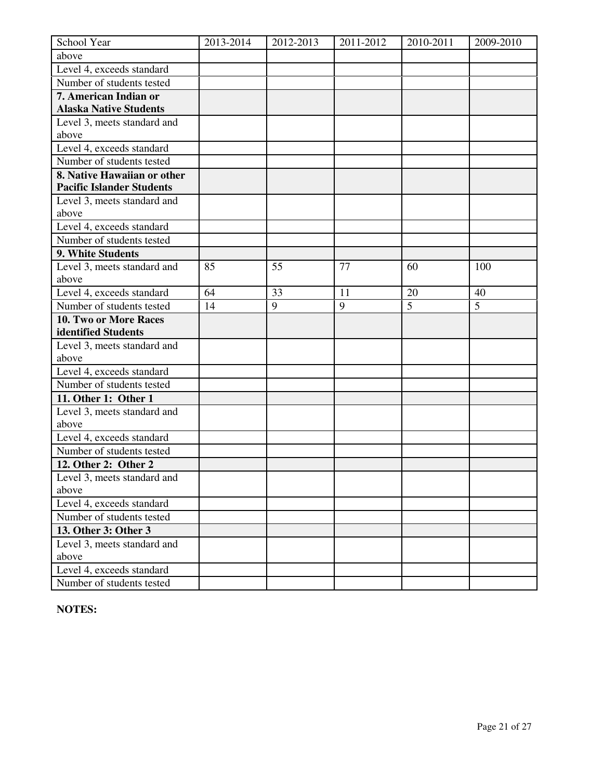| School Year                          | 2013-2014 | 2012-2013 | 2011-2012 | 2010-2011      | 2009-2010 |
|--------------------------------------|-----------|-----------|-----------|----------------|-----------|
| above                                |           |           |           |                |           |
| Level 4, exceeds standard            |           |           |           |                |           |
| Number of students tested            |           |           |           |                |           |
| 7. American Indian or                |           |           |           |                |           |
| <b>Alaska Native Students</b>        |           |           |           |                |           |
| Level 3, meets standard and          |           |           |           |                |           |
| above                                |           |           |           |                |           |
| Level 4, exceeds standard            |           |           |           |                |           |
| Number of students tested            |           |           |           |                |           |
| 8. Native Hawaiian or other          |           |           |           |                |           |
| <b>Pacific Islander Students</b>     |           |           |           |                |           |
| Level 3, meets standard and          |           |           |           |                |           |
| above                                |           |           |           |                |           |
| Level 4, exceeds standard            |           |           |           |                |           |
| Number of students tested            |           |           |           |                |           |
| 9. White Students                    |           |           |           |                |           |
| Level 3, meets standard and          | 85        | 55        | 77        | 60             | 100       |
| above                                |           |           |           |                |           |
| Level 4, exceeds standard            | 64        | 33        | 11        | 20             | 40        |
| Number of students tested            | 14        | 9         | 9         | $\overline{5}$ | 5         |
| 10. Two or More Races                |           |           |           |                |           |
| identified Students                  |           |           |           |                |           |
| Level 3, meets standard and<br>above |           |           |           |                |           |
| Level 4, exceeds standard            |           |           |           |                |           |
| Number of students tested            |           |           |           |                |           |
| 11. Other 1: Other 1                 |           |           |           |                |           |
| Level 3, meets standard and          |           |           |           |                |           |
| above                                |           |           |           |                |           |
| Level 4, exceeds standard            |           |           |           |                |           |
| Number of students tested            |           |           |           |                |           |
| 12. Other 2: Other 2                 |           |           |           |                |           |
| Level 3, meets standard and          |           |           |           |                |           |
| above                                |           |           |           |                |           |
| Level 4, exceeds standard            |           |           |           |                |           |
| Number of students tested            |           |           |           |                |           |
| 13. Other 3: Other 3                 |           |           |           |                |           |
| Level 3, meets standard and          |           |           |           |                |           |
| above                                |           |           |           |                |           |
| Level 4, exceeds standard            |           |           |           |                |           |
| Number of students tested            |           |           |           |                |           |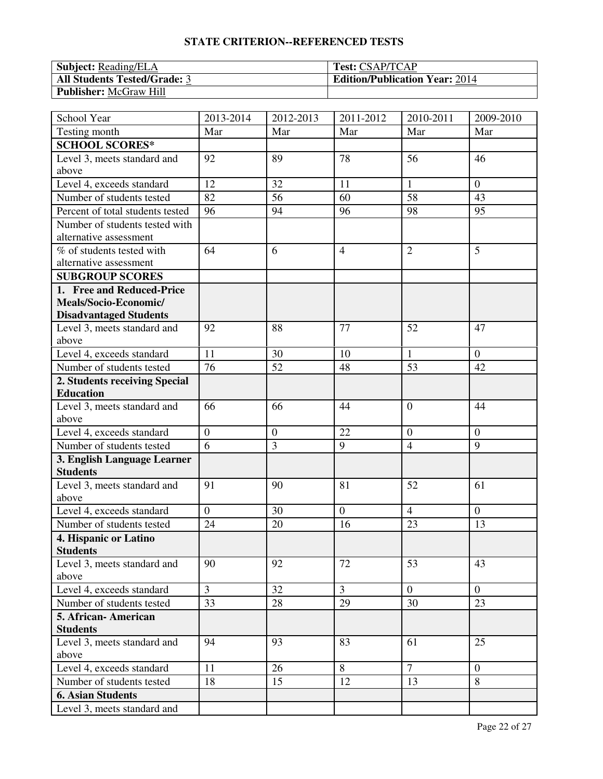| <b>Subject:</b> Reading/ELA         | <b>Test: CSAP/TCAP</b>                |
|-------------------------------------|---------------------------------------|
| <b>All Students Tested/Grade: 3</b> | <b>Edition/Publication Year: 2014</b> |
| <b>Publisher:</b> McGraw Hill       |                                       |

| School Year                          | 2013-2014      | 2012-2013        | 2011-2012      | 2010-2011      | 2009-2010      |
|--------------------------------------|----------------|------------------|----------------|----------------|----------------|
| Testing month                        | Mar            | Mar              | Mar            | Mar            | Mar            |
| <b>SCHOOL SCORES*</b>                |                |                  |                |                |                |
| Level 3, meets standard and          | 92             | 89               | 78             | 56             | 46             |
| above                                |                |                  |                |                |                |
| Level 4, exceeds standard            | 12             | 32               | 11             | $\mathbf{1}$   | $\theta$       |
| Number of students tested            | 82             | 56               | 60             | 58             | 43             |
| Percent of total students tested     | 96             | 94               | 96             | 98             | 95             |
| Number of students tested with       |                |                  |                |                |                |
| alternative assessment               |                |                  |                |                |                |
| % of students tested with            | 64             | 6                | $\overline{4}$ | $\overline{2}$ | 5              |
| alternative assessment               |                |                  |                |                |                |
| <b>SUBGROUP SCORES</b>               |                |                  |                |                |                |
| 1. Free and Reduced-Price            |                |                  |                |                |                |
| Meals/Socio-Economic/                |                |                  |                |                |                |
| <b>Disadvantaged Students</b>        |                |                  |                |                |                |
| Level 3, meets standard and<br>above | 92             | 88               | 77             | 52             | 47             |
| Level 4, exceeds standard            | 11             | 30               | 10             | $\mathbf{1}$   | $\theta$       |
| Number of students tested            | 76             | 52               | 48             | 53             | 42             |
| 2. Students receiving Special        |                |                  |                |                |                |
| <b>Education</b>                     |                |                  |                |                |                |
| Level 3, meets standard and          | 66             | 66               | 44             | $\overline{0}$ | 44             |
| above                                |                |                  |                |                |                |
| Level 4, exceeds standard            | $\mathbf{0}$   | $\boldsymbol{0}$ | 22             | $\overline{0}$ | $\theta$       |
| Number of students tested            | 6              | 3                | 9              | $\overline{4}$ | 9              |
| 3. English Language Learner          |                |                  |                |                |                |
| <b>Students</b>                      |                |                  |                |                |                |
| Level 3, meets standard and          | 91             | 90               | 81             | 52             | 61             |
| above                                |                |                  |                |                |                |
| Level 4, exceeds standard            | $\overline{0}$ | 30               | $\overline{0}$ | $\overline{4}$ | $\overline{0}$ |
| Number of students tested            | 24             | 20               | 16             | 23             | 13             |
| 4. Hispanic or Latino                |                |                  |                |                |                |
| <b>Students</b>                      |                |                  |                |                |                |
| Level 3, meets standard and          | 90             | 92               | 72             | 53             | 43             |
| above                                |                |                  |                |                |                |
| Level 4, exceeds standard            | $\overline{3}$ | 32               | $\overline{3}$ | $\overline{0}$ | $\overline{0}$ |
| Number of students tested            | 33             | 28               | 29             | 30             | 23             |
| 5. African-American                  |                |                  |                |                |                |
| <b>Students</b>                      |                |                  |                |                |                |
| Level 3, meets standard and          | 94             | 93               | 83             | 61             | 25             |
| above<br>Level 4, exceeds standard   | 11             | 26               | 8              | $\overline{7}$ | $\overline{0}$ |
|                                      |                | 15               | 12             |                | 8              |
| Number of students tested            | 18             |                  |                | 13             |                |
| <b>6. Asian Students</b>             |                |                  |                |                |                |
| Level 3, meets standard and          |                |                  |                |                |                |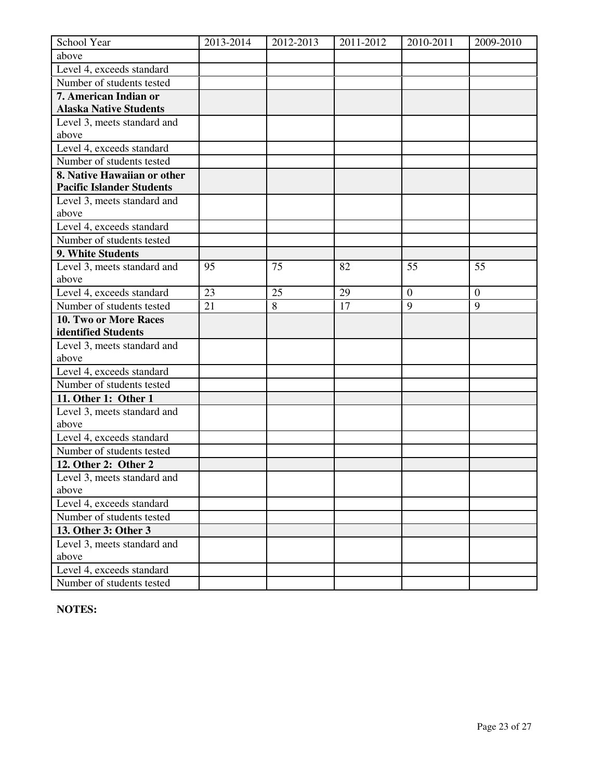| School Year                          | 2013-2014 | 2012-2013 | 2011-2012 | 2010-2011      | 2009-2010      |
|--------------------------------------|-----------|-----------|-----------|----------------|----------------|
| above                                |           |           |           |                |                |
| Level 4, exceeds standard            |           |           |           |                |                |
| Number of students tested            |           |           |           |                |                |
| 7. American Indian or                |           |           |           |                |                |
| <b>Alaska Native Students</b>        |           |           |           |                |                |
| Level 3, meets standard and          |           |           |           |                |                |
| above                                |           |           |           |                |                |
| Level 4, exceeds standard            |           |           |           |                |                |
| Number of students tested            |           |           |           |                |                |
| 8. Native Hawaiian or other          |           |           |           |                |                |
| <b>Pacific Islander Students</b>     |           |           |           |                |                |
| Level 3, meets standard and          |           |           |           |                |                |
| above                                |           |           |           |                |                |
| Level 4, exceeds standard            |           |           |           |                |                |
| Number of students tested            |           |           |           |                |                |
| 9. White Students                    |           |           |           |                |                |
| Level 3, meets standard and          | 95        | 75        | 82        | 55             | 55             |
| above                                |           |           |           |                |                |
| Level 4, exceeds standard            | 23        | 25        | 29        | $\overline{0}$ | $\overline{0}$ |
| Number of students tested            | 21        | 8         | 17        | 9              | 9              |
| 10. Two or More Races                |           |           |           |                |                |
| identified Students                  |           |           |           |                |                |
| Level 3, meets standard and<br>above |           |           |           |                |                |
| Level 4, exceeds standard            |           |           |           |                |                |
| Number of students tested            |           |           |           |                |                |
| 11. Other 1: Other 1                 |           |           |           |                |                |
| Level 3, meets standard and          |           |           |           |                |                |
| above                                |           |           |           |                |                |
| Level 4, exceeds standard            |           |           |           |                |                |
| Number of students tested            |           |           |           |                |                |
| 12. Other 2: Other 2                 |           |           |           |                |                |
| Level 3, meets standard and          |           |           |           |                |                |
| above                                |           |           |           |                |                |
| Level 4, exceeds standard            |           |           |           |                |                |
| Number of students tested            |           |           |           |                |                |
| 13. Other 3: Other 3                 |           |           |           |                |                |
| Level 3, meets standard and          |           |           |           |                |                |
| above                                |           |           |           |                |                |
| Level 4, exceeds standard            |           |           |           |                |                |
| Number of students tested            |           |           |           |                |                |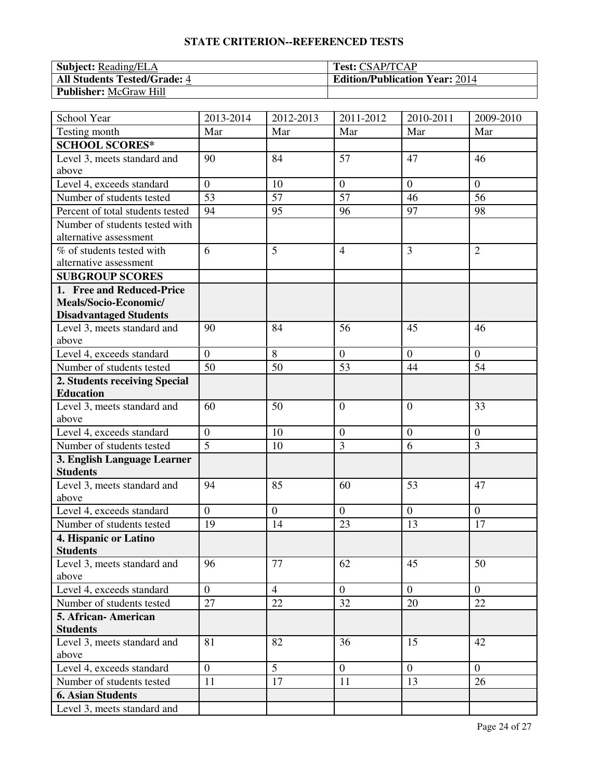| <b>Subject:</b> Reading/ELA         | <b>Test: CSAP/TCAP</b>                |
|-------------------------------------|---------------------------------------|
| <b>All Students Tested/Grade: 4</b> | <b>Edition/Publication Year: 2014</b> |
| <b>Publisher:</b> McGraw Hill       |                                       |

| School Year                          | 2013-2014      | 2012-2013      | 2011-2012      | 2010-2011      | 2009-2010      |
|--------------------------------------|----------------|----------------|----------------|----------------|----------------|
| Testing month                        | Mar            | Mar            | Mar            | Mar            | Mar            |
| <b>SCHOOL SCORES*</b>                |                |                |                |                |                |
| Level 3, meets standard and          | 90             | 84             | 57             | 47             | 46             |
| above                                |                |                |                |                |                |
| Level 4, exceeds standard            | $\overline{0}$ | 10             | $\theta$       | $\overline{0}$ | $\theta$       |
| Number of students tested            | 53             | 57             | 57             | 46             | 56             |
| Percent of total students tested     | 94             | 95             | 96             | 97             | 98             |
| Number of students tested with       |                |                |                |                |                |
| alternative assessment               |                |                |                |                |                |
| % of students tested with            | 6              | 5              | $\overline{4}$ | $\overline{3}$ | $\overline{2}$ |
| alternative assessment               |                |                |                |                |                |
| <b>SUBGROUP SCORES</b>               |                |                |                |                |                |
| 1. Free and Reduced-Price            |                |                |                |                |                |
| Meals/Socio-Economic/                |                |                |                |                |                |
| <b>Disadvantaged Students</b>        |                |                |                |                |                |
| Level 3, meets standard and<br>above | 90             | 84             | 56             | 45             | 46             |
| Level 4, exceeds standard            | $\overline{0}$ | 8              | $\overline{0}$ | $\overline{0}$ | $\theta$       |
| Number of students tested            | 50             | 50             | 53             | 44             | 54             |
| 2. Students receiving Special        |                |                |                |                |                |
| <b>Education</b>                     |                |                |                |                |                |
| Level 3, meets standard and          | 60             | 50             | $\overline{0}$ | $\overline{0}$ | 33             |
| above                                |                |                |                |                |                |
| Level 4, exceeds standard            | $\mathbf{0}$   | 10             | $\mathbf{0}$   | $\overline{0}$ | $\theta$       |
| Number of students tested            | 5              | 10             | 3              | 6              | 3              |
| 3. English Language Learner          |                |                |                |                |                |
| <b>Students</b>                      |                |                |                |                |                |
| Level 3, meets standard and          | 94             | 85             | 60             | 53             | 47             |
| above                                |                |                |                |                |                |
| Level 4, exceeds standard            | $\overline{0}$ | $\overline{0}$ | $\overline{0}$ | $\overline{0}$ | $\overline{0}$ |
| Number of students tested            | 19             | 14             | 23             | 13             | 17             |
| 4. Hispanic or Latino                |                |                |                |                |                |
| <b>Students</b>                      |                |                |                |                |                |
| Level 3, meets standard and          | 96             | 77             | 62             | 45             | 50             |
| above                                |                |                |                |                |                |
| Level 4, exceeds standard            | $\overline{0}$ | $\overline{4}$ | $\overline{0}$ | $\overline{0}$ | $\overline{0}$ |
| Number of students tested            | 27             | 22             | 32             | 20             | 22             |
| 5. African-American                  |                |                |                |                |                |
| <b>Students</b>                      |                |                |                |                |                |
| Level 3, meets standard and          | 81             | 82             | 36             | 15             | 42             |
| above                                |                |                |                |                |                |
| Level 4, exceeds standard            | $\overline{0}$ | 5              | $\overline{0}$ | $\overline{0}$ | $\overline{0}$ |
| Number of students tested            | 11             | 17             | 11             | 13             | 26             |
| <b>6. Asian Students</b>             |                |                |                |                |                |
| Level 3, meets standard and          |                |                |                |                |                |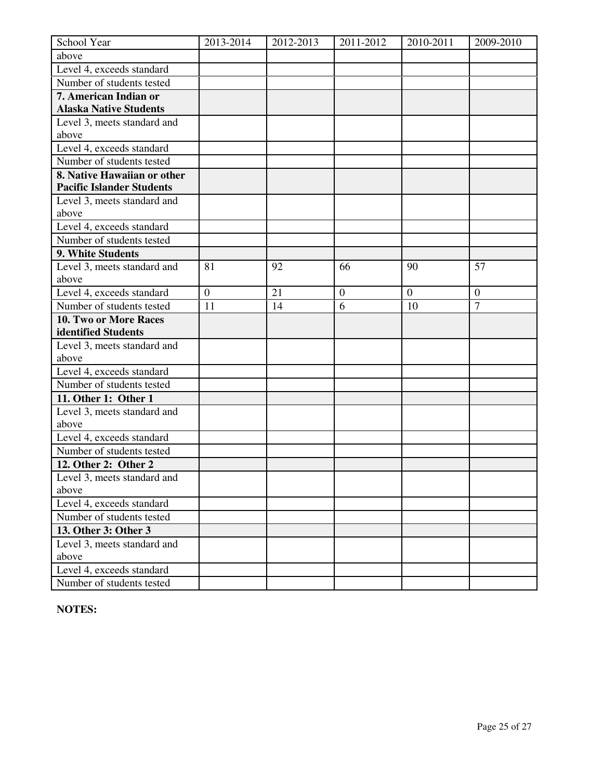| School Year                          | 2013-2014      | 2012-2013 | 2011-2012        | 2010-2011    | 2009-2010      |
|--------------------------------------|----------------|-----------|------------------|--------------|----------------|
| above                                |                |           |                  |              |                |
| Level 4, exceeds standard            |                |           |                  |              |                |
| Number of students tested            |                |           |                  |              |                |
| 7. American Indian or                |                |           |                  |              |                |
| <b>Alaska Native Students</b>        |                |           |                  |              |                |
| Level 3, meets standard and          |                |           |                  |              |                |
| above                                |                |           |                  |              |                |
| Level 4, exceeds standard            |                |           |                  |              |                |
| Number of students tested            |                |           |                  |              |                |
| 8. Native Hawaiian or other          |                |           |                  |              |                |
| <b>Pacific Islander Students</b>     |                |           |                  |              |                |
| Level 3, meets standard and          |                |           |                  |              |                |
| above                                |                |           |                  |              |                |
| Level 4, exceeds standard            |                |           |                  |              |                |
| Number of students tested            |                |           |                  |              |                |
| 9. White Students                    |                |           |                  |              |                |
| Level 3, meets standard and          | 81             | 92        | 66               | 90           | 57             |
| above                                |                |           |                  |              |                |
| Level 4, exceeds standard            | $\overline{0}$ | 21        | $\boldsymbol{0}$ | $\mathbf{0}$ | $\overline{0}$ |
| Number of students tested            | 11             | 14        | $\overline{6}$   | 10           | $\overline{7}$ |
| 10. Two or More Races                |                |           |                  |              |                |
| identified Students                  |                |           |                  |              |                |
| Level 3, meets standard and          |                |           |                  |              |                |
| above                                |                |           |                  |              |                |
| Level 4, exceeds standard            |                |           |                  |              |                |
| Number of students tested            |                |           |                  |              |                |
| 11. Other 1: Other 1                 |                |           |                  |              |                |
| Level 3, meets standard and<br>above |                |           |                  |              |                |
| Level 4, exceeds standard            |                |           |                  |              |                |
| Number of students tested            |                |           |                  |              |                |
| 12. Other 2: Other 2                 |                |           |                  |              |                |
| Level 3, meets standard and          |                |           |                  |              |                |
| above                                |                |           |                  |              |                |
| Level 4, exceeds standard            |                |           |                  |              |                |
| Number of students tested            |                |           |                  |              |                |
| 13. Other 3: Other 3                 |                |           |                  |              |                |
| Level 3, meets standard and          |                |           |                  |              |                |
| above                                |                |           |                  |              |                |
| Level 4, exceeds standard            |                |           |                  |              |                |
| Number of students tested            |                |           |                  |              |                |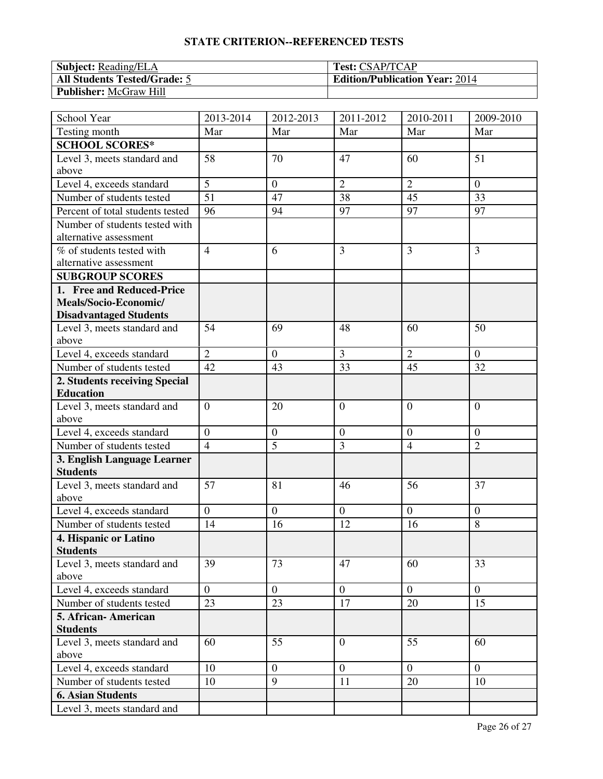| <b>Subject:</b> Reading/ELA         | <b>Test: CSAP/TCAP</b>                |
|-------------------------------------|---------------------------------------|
| <b>All Students Tested/Grade: 5</b> | <b>Edition/Publication Year: 2014</b> |
| <b>Publisher:</b> McGraw Hill       |                                       |

| School Year                          | 2013-2014      | 2012-2013        | 2011-2012      | 2010-2011      | 2009-2010      |
|--------------------------------------|----------------|------------------|----------------|----------------|----------------|
| Testing month                        | Mar            | Mar              | Mar            | Mar            | Mar            |
| <b>SCHOOL SCORES*</b>                |                |                  |                |                |                |
| Level 3, meets standard and          | 58             | 70               | 47             | 60             | 51             |
| above                                |                |                  |                |                |                |
| Level 4, exceeds standard            | 5              | $\overline{0}$   | $\overline{2}$ | $\overline{2}$ | $\overline{0}$ |
| Number of students tested            | 51             | 47               | 38             | 45             | 33             |
| Percent of total students tested     | 96             | 94               | 97             | 97             | 97             |
| Number of students tested with       |                |                  |                |                |                |
| alternative assessment               |                |                  |                |                |                |
| % of students tested with            | $\overline{4}$ | 6                | $\overline{3}$ | $\overline{3}$ | $\overline{3}$ |
| alternative assessment               |                |                  |                |                |                |
| <b>SUBGROUP SCORES</b>               |                |                  |                |                |                |
| 1. Free and Reduced-Price            |                |                  |                |                |                |
| Meals/Socio-Economic/                |                |                  |                |                |                |
| <b>Disadvantaged Students</b>        |                |                  |                |                |                |
| Level 3, meets standard and<br>above | 54             | 69               | 48             | 60             | 50             |
| Level 4, exceeds standard            | $\overline{2}$ | $\boldsymbol{0}$ | 3              | $\overline{2}$ | $\theta$       |
| Number of students tested            | 42             | 43               | 33             | 45             | 32             |
| 2. Students receiving Special        |                |                  |                |                |                |
| <b>Education</b>                     |                |                  |                |                |                |
| Level 3, meets standard and          | $\overline{0}$ | 20               | $\overline{0}$ | $\overline{0}$ | $\theta$       |
| above                                |                |                  |                |                |                |
| Level 4, exceeds standard            | $\overline{0}$ | $\overline{0}$   | $\overline{0}$ | $\overline{0}$ | $\theta$       |
| Number of students tested            | $\overline{4}$ | 5                | $\overline{3}$ | $\overline{4}$ | $\overline{2}$ |
| 3. English Language Learner          |                |                  |                |                |                |
| <b>Students</b>                      |                |                  |                |                |                |
| Level 3, meets standard and          | 57             | 81               | 46             | 56             | 37             |
| above                                |                |                  |                |                |                |
| Level 4, exceeds standard            | $\overline{0}$ | $\overline{0}$   | $\overline{0}$ | $\overline{0}$ | $\Omega$       |
| Number of students tested            | 14             | 16               | 12             | 16             | 8              |
| 4. Hispanic or Latino                |                |                  |                |                |                |
| <b>Students</b>                      |                |                  |                |                |                |
| Level 3, meets standard and          | 39             | 73               | 47             | 60             | 33             |
| above                                |                |                  |                |                |                |
| Level 4, exceeds standard            | $\overline{0}$ | $\overline{0}$   | $\mathbf{0}$   | $\overline{0}$ | $\mathbf{0}$   |
| Number of students tested            | 23             | 23               | 17             | 20             | 15             |
| 5. African-American                  |                |                  |                |                |                |
| <b>Students</b>                      |                |                  |                |                |                |
| Level 3, meets standard and<br>above | 60             | 55               | $\overline{0}$ | 55             | 60             |
| Level 4, exceeds standard            | 10             | $\boldsymbol{0}$ | $\mathbf{0}$   | $\overline{0}$ | $\overline{0}$ |
| Number of students tested            | 10             | 9                | 11             | 20             | 10             |
|                                      |                |                  |                |                |                |
| <b>6. Asian Students</b>             |                |                  |                |                |                |
| Level 3, meets standard and          |                |                  |                |                |                |